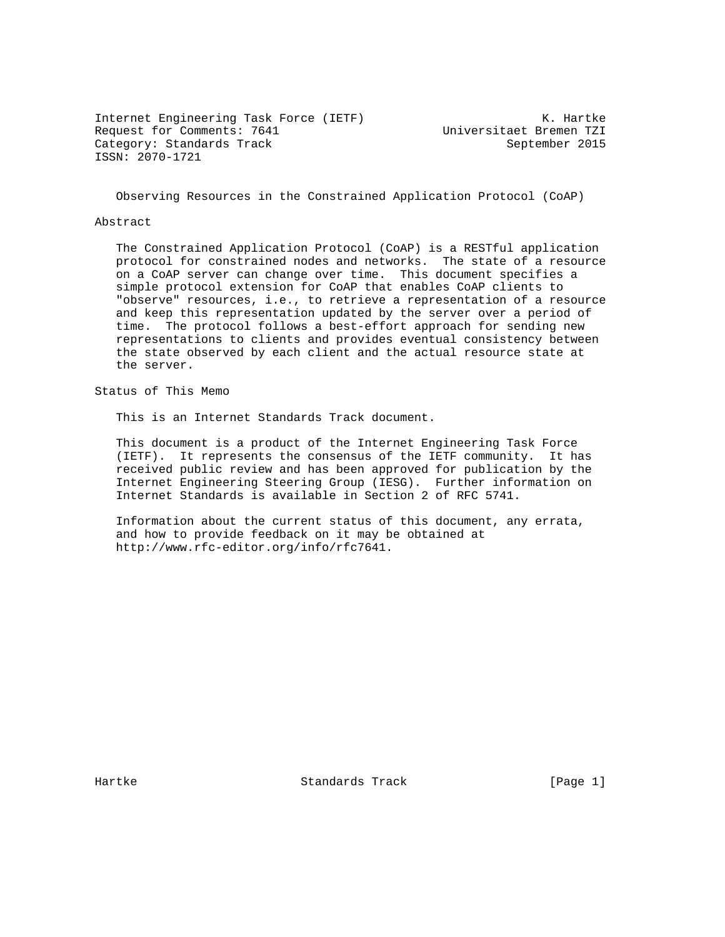Internet Engineering Task Force (IETF) The Control of the K. Hartke Request for Comments: 7641 Universitaet Bremen TZI Category: Standards Track September 2015 ISSN: 2070-1721

Observing Resources in the Constrained Application Protocol (CoAP)

### Abstract

 The Constrained Application Protocol (CoAP) is a RESTful application protocol for constrained nodes and networks. The state of a resource on a CoAP server can change over time. This document specifies a simple protocol extension for CoAP that enables CoAP clients to "observe" resources, i.e., to retrieve a representation of a resource and keep this representation updated by the server over a period of time. The protocol follows a best-effort approach for sending new representations to clients and provides eventual consistency between the state observed by each client and the actual resource state at the server.

Status of This Memo

This is an Internet Standards Track document.

 This document is a product of the Internet Engineering Task Force (IETF). It represents the consensus of the IETF community. It has received public review and has been approved for publication by the Internet Engineering Steering Group (IESG). Further information on Internet Standards is available in Section 2 of RFC 5741.

 Information about the current status of this document, any errata, and how to provide feedback on it may be obtained at http://www.rfc-editor.org/info/rfc7641.

Hartke Standards Track [Page 1]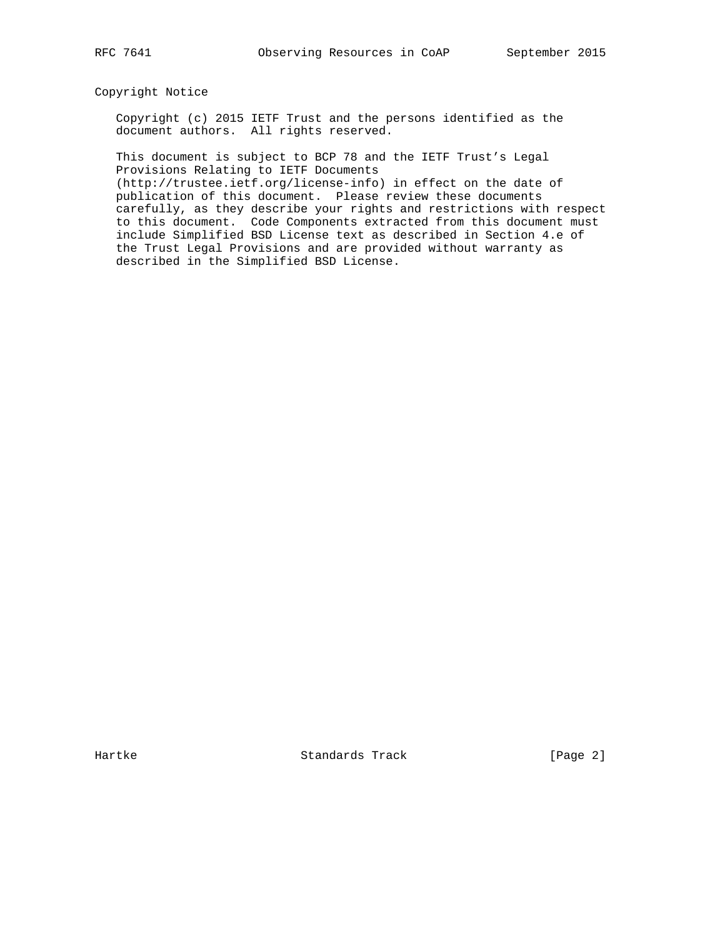Copyright Notice

 Copyright (c) 2015 IETF Trust and the persons identified as the document authors. All rights reserved.

 This document is subject to BCP 78 and the IETF Trust's Legal Provisions Relating to IETF Documents

 (http://trustee.ietf.org/license-info) in effect on the date of publication of this document. Please review these documents carefully, as they describe your rights and restrictions with respect to this document. Code Components extracted from this document must include Simplified BSD License text as described in Section 4.e of the Trust Legal Provisions and are provided without warranty as described in the Simplified BSD License.

Hartke Standards Track [Page 2]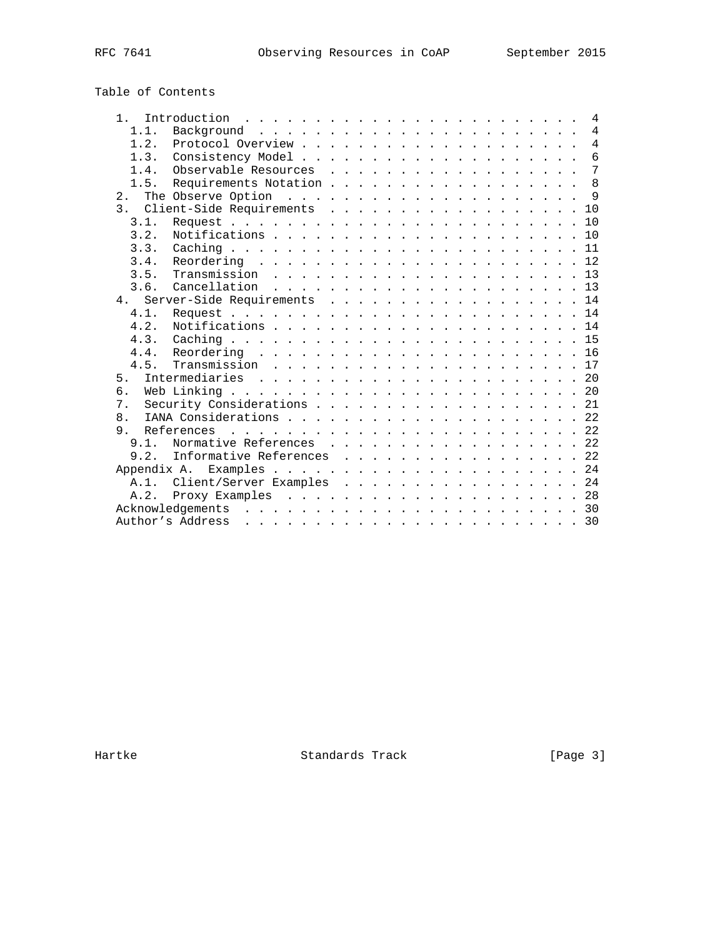# Table of Contents

| $1 \quad$      |                                |  |  |  |  |  |  |  |  |  | $\overline{4}$  |
|----------------|--------------------------------|--|--|--|--|--|--|--|--|--|-----------------|
| 1.1.           |                                |  |  |  |  |  |  |  |  |  | $\overline{4}$  |
| $1\quad 2$     |                                |  |  |  |  |  |  |  |  |  | $\overline{4}$  |
| $1 \cdot 3$    |                                |  |  |  |  |  |  |  |  |  | $6\overline{6}$ |
| $1\quad 4$     | Observable Resources 7         |  |  |  |  |  |  |  |  |  |                 |
| 1.5.           | Requirements Notation          |  |  |  |  |  |  |  |  |  | $\mathsf{R}$    |
| 2.1            |                                |  |  |  |  |  |  |  |  |  |                 |
|                | 3. Client-Side Requirements 10 |  |  |  |  |  |  |  |  |  |                 |
| 3.1.           |                                |  |  |  |  |  |  |  |  |  |                 |
| 3.2.           |                                |  |  |  |  |  |  |  |  |  |                 |
| 3.3.           |                                |  |  |  |  |  |  |  |  |  |                 |
| 3.4.           |                                |  |  |  |  |  |  |  |  |  |                 |
| 3.5.           |                                |  |  |  |  |  |  |  |  |  |                 |
| 3.6.           |                                |  |  |  |  |  |  |  |  |  |                 |
|                | 4. Server-Side Requirements 14 |  |  |  |  |  |  |  |  |  |                 |
| 4.1.           |                                |  |  |  |  |  |  |  |  |  |                 |
| 4.2.           |                                |  |  |  |  |  |  |  |  |  |                 |
| 4.3.           |                                |  |  |  |  |  |  |  |  |  |                 |
|                |                                |  |  |  |  |  |  |  |  |  |                 |
| 4 5            |                                |  |  |  |  |  |  |  |  |  |                 |
| 5 <sub>1</sub> |                                |  |  |  |  |  |  |  |  |  |                 |
| б.             |                                |  |  |  |  |  |  |  |  |  |                 |
| 7 <sup>1</sup> | Security Considerations 21     |  |  |  |  |  |  |  |  |  |                 |
| 8 <sub>1</sub> |                                |  |  |  |  |  |  |  |  |  |                 |
| 9 <sub>1</sub> |                                |  |  |  |  |  |  |  |  |  |                 |
|                | 9.1. Normative References 22   |  |  |  |  |  |  |  |  |  |                 |
| 9.2.           | Informative References 22      |  |  |  |  |  |  |  |  |  |                 |
|                |                                |  |  |  |  |  |  |  |  |  |                 |
|                | A.1. Client/Server Examples 24 |  |  |  |  |  |  |  |  |  |                 |
| A.2.           |                                |  |  |  |  |  |  |  |  |  |                 |
|                |                                |  |  |  |  |  |  |  |  |  |                 |
|                | Author's Address               |  |  |  |  |  |  |  |  |  |                 |
|                |                                |  |  |  |  |  |  |  |  |  |                 |

Hartke **Standards Track** [Page 3]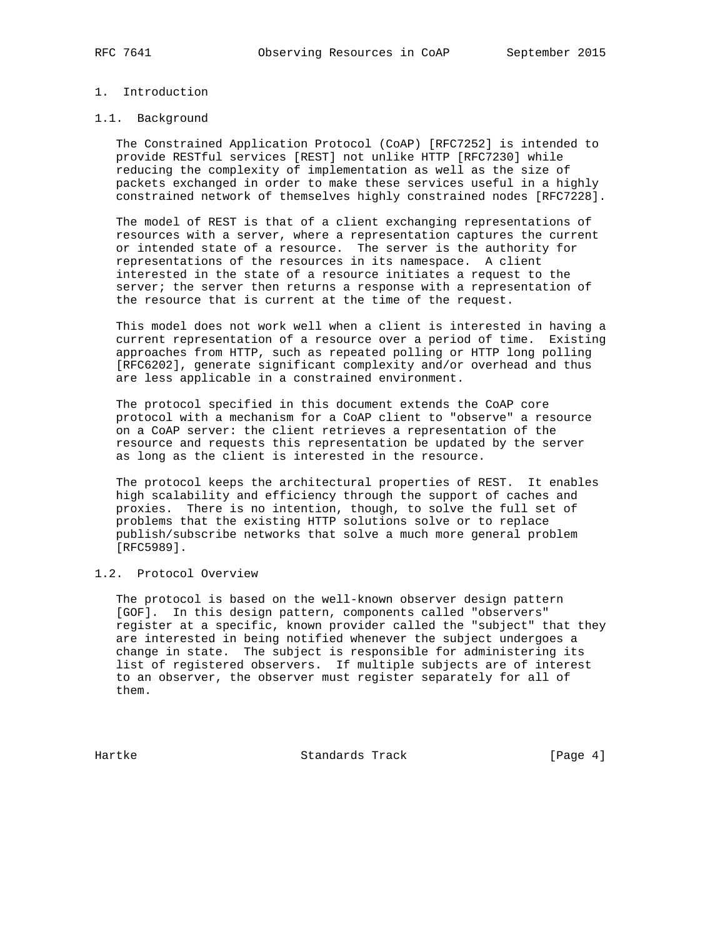# 1. Introduction

### 1.1. Background

 The Constrained Application Protocol (CoAP) [RFC7252] is intended to provide RESTful services [REST] not unlike HTTP [RFC7230] while reducing the complexity of implementation as well as the size of packets exchanged in order to make these services useful in a highly constrained network of themselves highly constrained nodes [RFC7228].

 The model of REST is that of a client exchanging representations of resources with a server, where a representation captures the current or intended state of a resource. The server is the authority for representations of the resources in its namespace. A client interested in the state of a resource initiates a request to the server; the server then returns a response with a representation of the resource that is current at the time of the request.

 This model does not work well when a client is interested in having a current representation of a resource over a period of time. Existing approaches from HTTP, such as repeated polling or HTTP long polling [RFC6202], generate significant complexity and/or overhead and thus are less applicable in a constrained environment.

 The protocol specified in this document extends the CoAP core protocol with a mechanism for a CoAP client to "observe" a resource on a CoAP server: the client retrieves a representation of the resource and requests this representation be updated by the server as long as the client is interested in the resource.

 The protocol keeps the architectural properties of REST. It enables high scalability and efficiency through the support of caches and proxies. There is no intention, though, to solve the full set of problems that the existing HTTP solutions solve or to replace publish/subscribe networks that solve a much more general problem [RFC5989].

# 1.2. Protocol Overview

 The protocol is based on the well-known observer design pattern [GOF]. In this design pattern, components called "observers" register at a specific, known provider called the "subject" that they are interested in being notified whenever the subject undergoes a change in state. The subject is responsible for administering its list of registered observers. If multiple subjects are of interest to an observer, the observer must register separately for all of them.

Hartke **Standards Track** Standards (Page 4)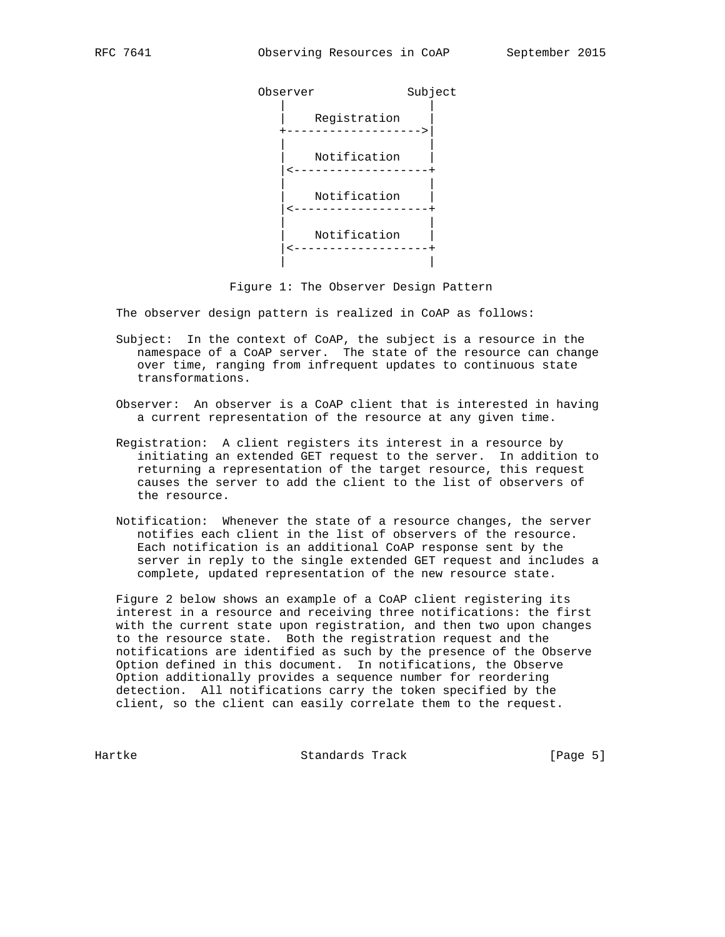

Figure 1: The Observer Design Pattern

The observer design pattern is realized in CoAP as follows:

- Subject: In the context of CoAP, the subject is a resource in the namespace of a CoAP server. The state of the resource can change over time, ranging from infrequent updates to continuous state transformations.
- Observer: An observer is a CoAP client that is interested in having a current representation of the resource at any given time.
- Registration: A client registers its interest in a resource by initiating an extended GET request to the server. In addition to returning a representation of the target resource, this request causes the server to add the client to the list of observers of the resource.
	- Notification: Whenever the state of a resource changes, the server notifies each client in the list of observers of the resource. Each notification is an additional CoAP response sent by the server in reply to the single extended GET request and includes a complete, updated representation of the new resource state.

 Figure 2 below shows an example of a CoAP client registering its interest in a resource and receiving three notifications: the first with the current state upon registration, and then two upon changes to the resource state. Both the registration request and the notifications are identified as such by the presence of the Observe Option defined in this document. In notifications, the Observe Option additionally provides a sequence number for reordering detection. All notifications carry the token specified by the client, so the client can easily correlate them to the request.

Hartke Standards Track [Page 5]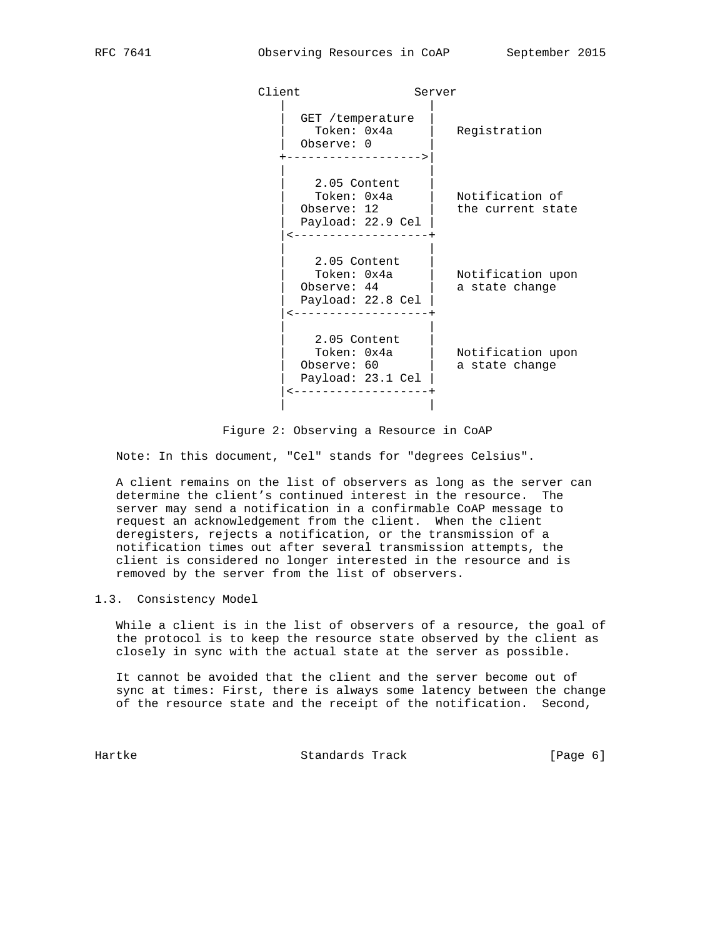| Client                                                                                   | Server                               |
|------------------------------------------------------------------------------------------|--------------------------------------|
| GET /temperature<br>Token: 0x4a<br>Observe: 0<br>------------>                           | Registration                         |
| 2.05 Content<br>Token: 0x4a<br>Observe: 12<br>Payload: 22.9 Cel<br>--------------------  | Notification of<br>the current state |
| 2.05 Content<br>Token: 0x4a<br>Observe: 44<br>Payload: 22.8 Cel<br>--------------------- | Notification upon<br>a state change  |
| 2.05 Content<br>Token: 0x4a<br>Observe: 60<br>Payload: 23.1 Cel<br>------------------+   | Notification upon<br>a state change  |
|                                                                                          |                                      |

Figure 2: Observing a Resource in CoAP

Note: In this document, "Cel" stands for "degrees Celsius".

 A client remains on the list of observers as long as the server can determine the client's continued interest in the resource. The server may send a notification in a confirmable CoAP message to request an acknowledgement from the client. When the client deregisters, rejects a notification, or the transmission of a notification times out after several transmission attempts, the client is considered no longer interested in the resource and is removed by the server from the list of observers.

### 1.3. Consistency Model

 While a client is in the list of observers of a resource, the goal of the protocol is to keep the resource state observed by the client as closely in sync with the actual state at the server as possible.

 It cannot be avoided that the client and the server become out of sync at times: First, there is always some latency between the change of the resource state and the receipt of the notification. Second,

Hartke **Standards Track** Standards (Page 6)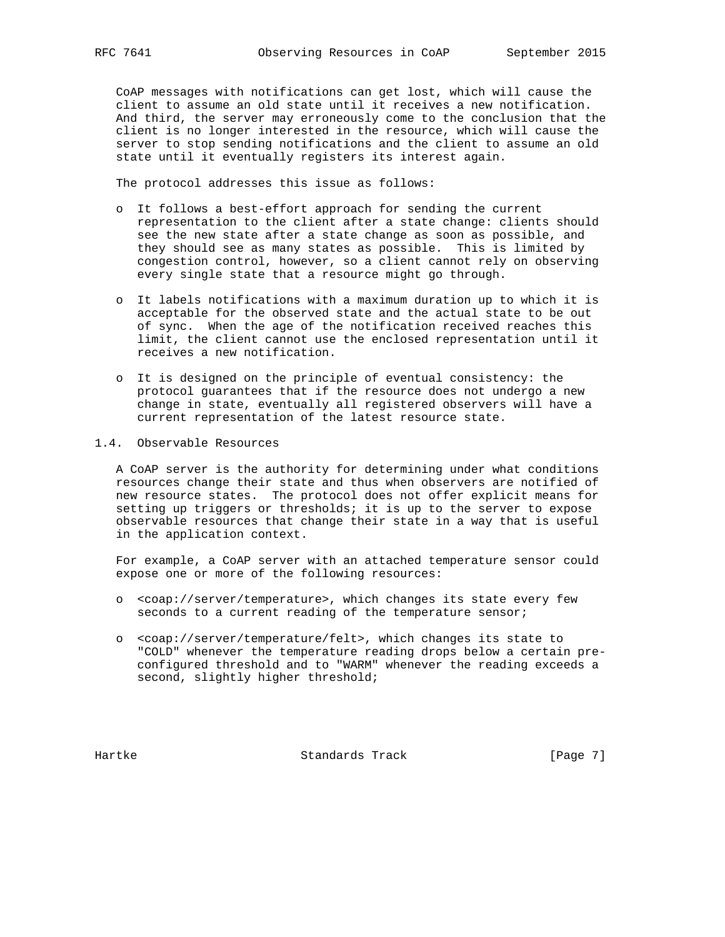CoAP messages with notifications can get lost, which will cause the client to assume an old state until it receives a new notification. And third, the server may erroneously come to the conclusion that the client is no longer interested in the resource, which will cause the server to stop sending notifications and the client to assume an old state until it eventually registers its interest again.

The protocol addresses this issue as follows:

- o It follows a best-effort approach for sending the current representation to the client after a state change: clients should see the new state after a state change as soon as possible, and they should see as many states as possible. This is limited by congestion control, however, so a client cannot rely on observing every single state that a resource might go through.
- o It labels notifications with a maximum duration up to which it is acceptable for the observed state and the actual state to be out of sync. When the age of the notification received reaches this limit, the client cannot use the enclosed representation until it receives a new notification.
- o It is designed on the principle of eventual consistency: the protocol guarantees that if the resource does not undergo a new change in state, eventually all registered observers will have a current representation of the latest resource state.
- 1.4. Observable Resources

 A CoAP server is the authority for determining under what conditions resources change their state and thus when observers are notified of new resource states. The protocol does not offer explicit means for setting up triggers or thresholds; it is up to the server to expose observable resources that change their state in a way that is useful in the application context.

 For example, a CoAP server with an attached temperature sensor could expose one or more of the following resources:

- o <coap://server/temperature>, which changes its state every few seconds to a current reading of the temperature sensor;
- o <coap://server/temperature/felt>, which changes its state to "COLD" whenever the temperature reading drops below a certain pre configured threshold and to "WARM" whenever the reading exceeds a second, slightly higher threshold;

Hartke **Standards Track** Standards (Page 7)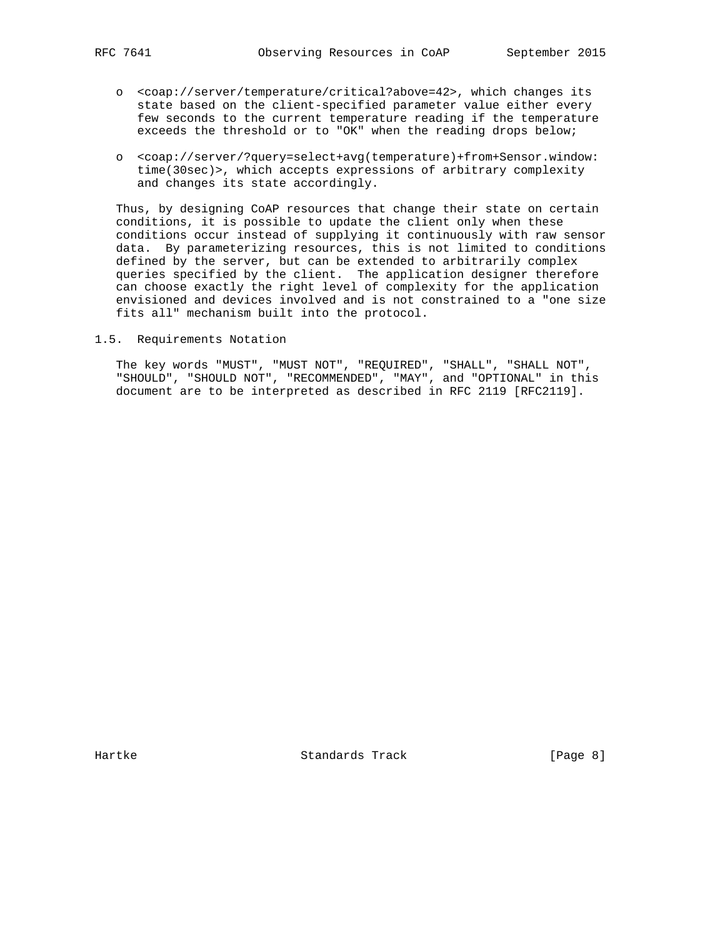- o <coap://server/temperature/critical?above=42>, which changes its state based on the client-specified parameter value either every few seconds to the current temperature reading if the temperature exceeds the threshold or to "OK" when the reading drops below;
- o <coap://server/?query=select+avg(temperature)+from+Sensor.window: time(30sec)>, which accepts expressions of arbitrary complexity and changes its state accordingly.

 Thus, by designing CoAP resources that change their state on certain conditions, it is possible to update the client only when these conditions occur instead of supplying it continuously with raw sensor data. By parameterizing resources, this is not limited to conditions defined by the server, but can be extended to arbitrarily complex queries specified by the client. The application designer therefore can choose exactly the right level of complexity for the application envisioned and devices involved and is not constrained to a "one size fits all" mechanism built into the protocol.

1.5. Requirements Notation

 The key words "MUST", "MUST NOT", "REQUIRED", "SHALL", "SHALL NOT", "SHOULD", "SHOULD NOT", "RECOMMENDED", "MAY", and "OPTIONAL" in this document are to be interpreted as described in RFC 2119 [RFC2119].

Hartke Standards Track [Page 8]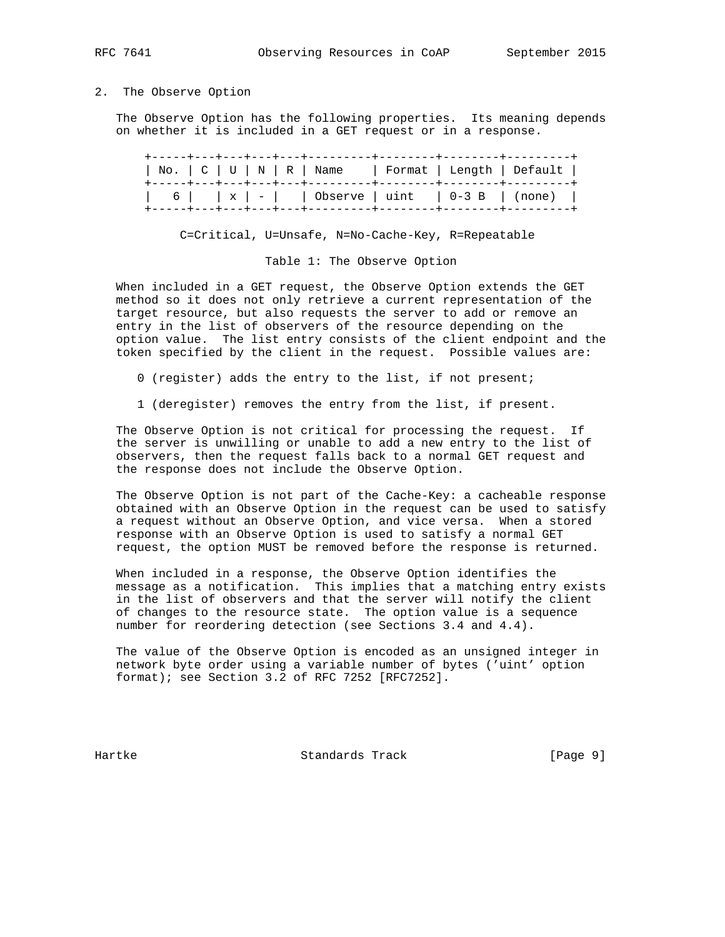### 2. The Observe Option

 The Observe Option has the following properties. Its meaning depends on whether it is included in a GET request or in a response.

|  | No.   C   U   N   R   Name   Format   Length   Default                                          |  |
|--|-------------------------------------------------------------------------------------------------|--|
|  | $\vert$ 6 $\vert$ x $\vert$ - $\vert$ 0bserve $\vert$ uint $\vert$ 0-3 B $\vert$ (none) $\vert$ |  |

# C=Critical, U=Unsafe, N=No-Cache-Key, R=Repeatable

### Table 1: The Observe Option

 When included in a GET request, the Observe Option extends the GET method so it does not only retrieve a current representation of the target resource, but also requests the server to add or remove an entry in the list of observers of the resource depending on the option value. The list entry consists of the client endpoint and the token specified by the client in the request. Possible values are:

- 0 (register) adds the entry to the list, if not present;
- 1 (deregister) removes the entry from the list, if present.

 The Observe Option is not critical for processing the request. If the server is unwilling or unable to add a new entry to the list of observers, then the request falls back to a normal GET request and the response does not include the Observe Option.

 The Observe Option is not part of the Cache-Key: a cacheable response obtained with an Observe Option in the request can be used to satisfy a request without an Observe Option, and vice versa. When a stored response with an Observe Option is used to satisfy a normal GET request, the option MUST be removed before the response is returned.

 When included in a response, the Observe Option identifies the message as a notification. This implies that a matching entry exists in the list of observers and that the server will notify the client of changes to the resource state. The option value is a sequence number for reordering detection (see Sections 3.4 and 4.4).

 The value of the Observe Option is encoded as an unsigned integer in network byte order using a variable number of bytes ('uint' option format); see Section 3.2 of RFC 7252 [RFC7252].

Hartke Standards Track [Page 9]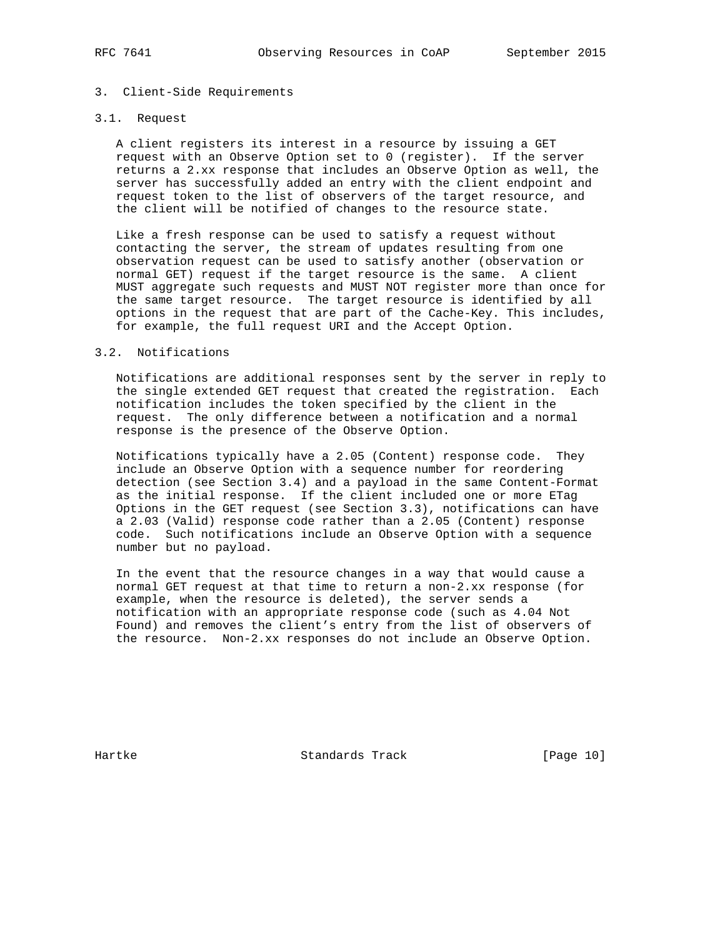# 3. Client-Side Requirements

# 3.1. Request

 A client registers its interest in a resource by issuing a GET request with an Observe Option set to 0 (register). If the server returns a 2.xx response that includes an Observe Option as well, the server has successfully added an entry with the client endpoint and request token to the list of observers of the target resource, and the client will be notified of changes to the resource state.

 Like a fresh response can be used to satisfy a request without contacting the server, the stream of updates resulting from one observation request can be used to satisfy another (observation or normal GET) request if the target resource is the same. A client MUST aggregate such requests and MUST NOT register more than once for the same target resource. The target resource is identified by all options in the request that are part of the Cache-Key. This includes, for example, the full request URI and the Accept Option.

# 3.2. Notifications

 Notifications are additional responses sent by the server in reply to the single extended GET request that created the registration. Each notification includes the token specified by the client in the request. The only difference between a notification and a normal response is the presence of the Observe Option.

 Notifications typically have a 2.05 (Content) response code. They include an Observe Option with a sequence number for reordering detection (see Section 3.4) and a payload in the same Content-Format as the initial response. If the client included one or more ETag Options in the GET request (see Section 3.3), notifications can have a 2.03 (Valid) response code rather than a 2.05 (Content) response code. Such notifications include an Observe Option with a sequence number but no payload.

 In the event that the resource changes in a way that would cause a normal GET request at that time to return a non-2.xx response (for example, when the resource is deleted), the server sends a notification with an appropriate response code (such as 4.04 Not Found) and removes the client's entry from the list of observers of the resource. Non-2.xx responses do not include an Observe Option.

Hartke Standards Track [Page 10]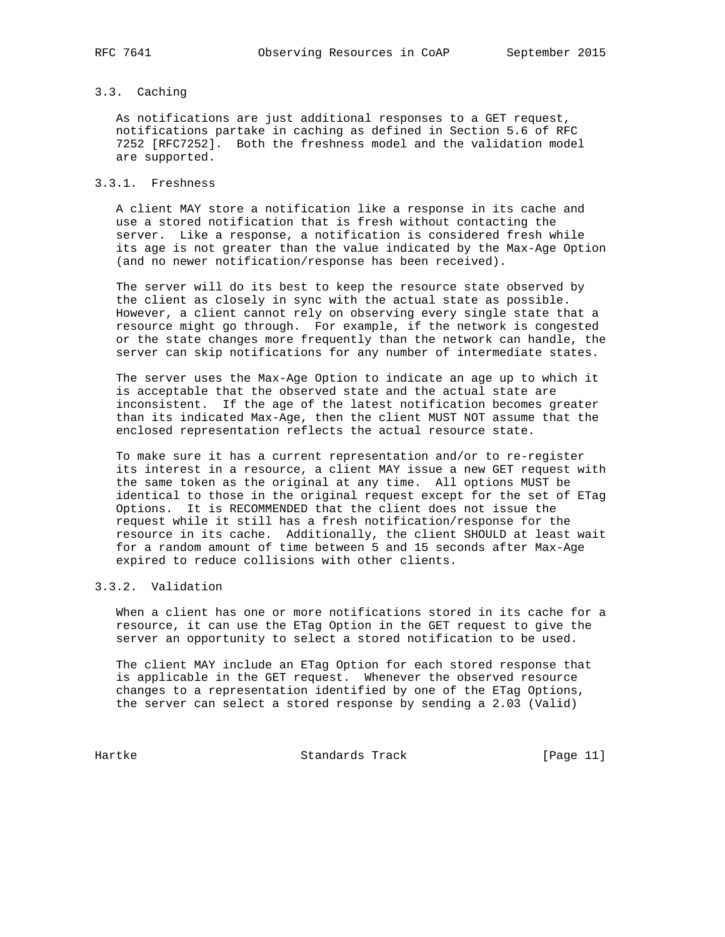# 3.3. Caching

 As notifications are just additional responses to a GET request, notifications partake in caching as defined in Section 5.6 of RFC 7252 [RFC7252]. Both the freshness model and the validation model are supported.

## 3.3.1. Freshness

 A client MAY store a notification like a response in its cache and use a stored notification that is fresh without contacting the server. Like a response, a notification is considered fresh while its age is not greater than the value indicated by the Max-Age Option (and no newer notification/response has been received).

 The server will do its best to keep the resource state observed by the client as closely in sync with the actual state as possible. However, a client cannot rely on observing every single state that a resource might go through. For example, if the network is congested or the state changes more frequently than the network can handle, the server can skip notifications for any number of intermediate states.

 The server uses the Max-Age Option to indicate an age up to which it is acceptable that the observed state and the actual state are inconsistent. If the age of the latest notification becomes greater than its indicated Max-Age, then the client MUST NOT assume that the enclosed representation reflects the actual resource state.

 To make sure it has a current representation and/or to re-register its interest in a resource, a client MAY issue a new GET request with the same token as the original at any time. All options MUST be identical to those in the original request except for the set of ETag Options. It is RECOMMENDED that the client does not issue the request while it still has a fresh notification/response for the resource in its cache. Additionally, the client SHOULD at least wait for a random amount of time between 5 and 15 seconds after Max-Age expired to reduce collisions with other clients.

# 3.3.2. Validation

 When a client has one or more notifications stored in its cache for a resource, it can use the ETag Option in the GET request to give the server an opportunity to select a stored notification to be used.

 The client MAY include an ETag Option for each stored response that is applicable in the GET request. Whenever the observed resource changes to a representation identified by one of the ETag Options, the server can select a stored response by sending a 2.03 (Valid)

Hartke **Standards Track** [Page 11]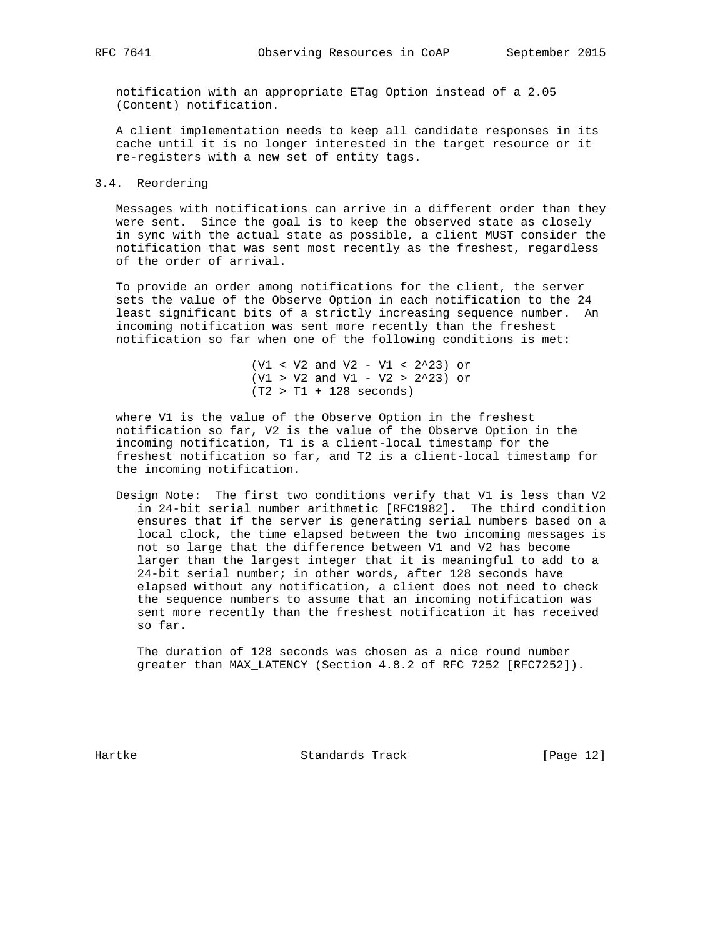notification with an appropriate ETag Option instead of a 2.05 (Content) notification.

 A client implementation needs to keep all candidate responses in its cache until it is no longer interested in the target resource or it re-registers with a new set of entity tags.

3.4. Reordering

 Messages with notifications can arrive in a different order than they were sent. Since the goal is to keep the observed state as closely in sync with the actual state as possible, a client MUST consider the notification that was sent most recently as the freshest, regardless of the order of arrival.

 To provide an order among notifications for the client, the server sets the value of the Observe Option in each notification to the 24 least significant bits of a strictly increasing sequence number. An incoming notification was sent more recently than the freshest notification so far when one of the following conditions is met:

> (V1 < V2 and V2 - V1 < 2^23) or (V1 > V2 and V1 - V2 > 2^23) or  $(T2 > T1 + 128$  seconds)

 where V1 is the value of the Observe Option in the freshest notification so far, V2 is the value of the Observe Option in the incoming notification, T1 is a client-local timestamp for the freshest notification so far, and T2 is a client-local timestamp for the incoming notification.

 Design Note: The first two conditions verify that V1 is less than V2 in 24-bit serial number arithmetic [RFC1982]. The third condition ensures that if the server is generating serial numbers based on a local clock, the time elapsed between the two incoming messages is not so large that the difference between V1 and V2 has become larger than the largest integer that it is meaningful to add to a 24-bit serial number; in other words, after 128 seconds have elapsed without any notification, a client does not need to check the sequence numbers to assume that an incoming notification was sent more recently than the freshest notification it has received so far.

 The duration of 128 seconds was chosen as a nice round number greater than MAX\_LATENCY (Section 4.8.2 of RFC 7252 [RFC7252]).

Hartke **Standards Track** [Page 12]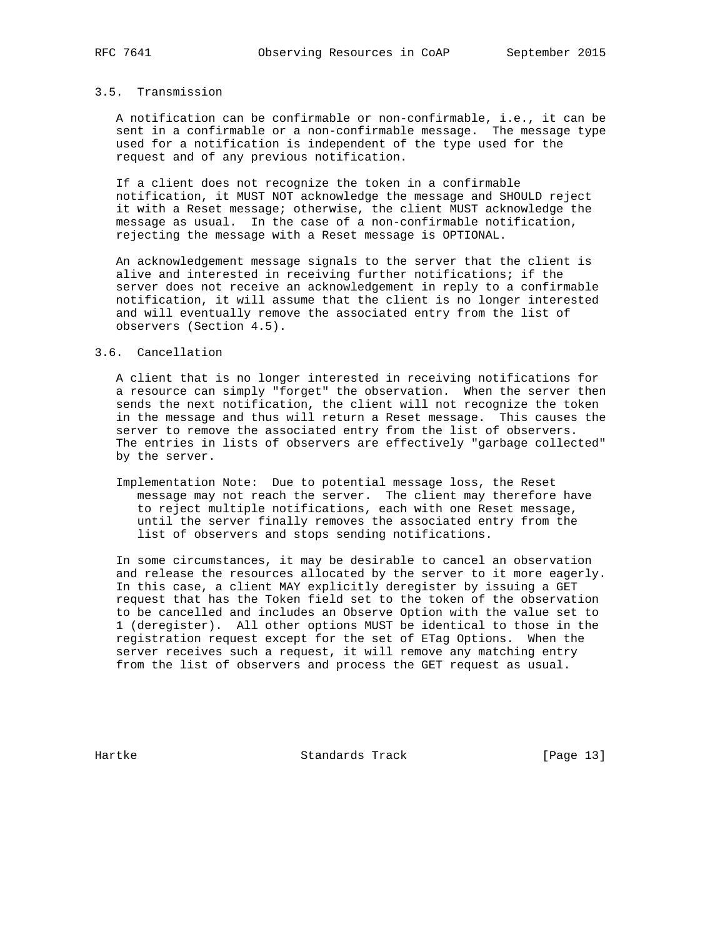## 3.5. Transmission

 A notification can be confirmable or non-confirmable, i.e., it can be sent in a confirmable or a non-confirmable message. The message type used for a notification is independent of the type used for the request and of any previous notification.

 If a client does not recognize the token in a confirmable notification, it MUST NOT acknowledge the message and SHOULD reject it with a Reset message; otherwise, the client MUST acknowledge the message as usual. In the case of a non-confirmable notification, rejecting the message with a Reset message is OPTIONAL.

 An acknowledgement message signals to the server that the client is alive and interested in receiving further notifications; if the server does not receive an acknowledgement in reply to a confirmable notification, it will assume that the client is no longer interested and will eventually remove the associated entry from the list of observers (Section 4.5).

### 3.6. Cancellation

 A client that is no longer interested in receiving notifications for a resource can simply "forget" the observation. When the server then sends the next notification, the client will not recognize the token in the message and thus will return a Reset message. This causes the server to remove the associated entry from the list of observers. The entries in lists of observers are effectively "garbage collected" by the server.

 Implementation Note: Due to potential message loss, the Reset message may not reach the server. The client may therefore have to reject multiple notifications, each with one Reset message, until the server finally removes the associated entry from the list of observers and stops sending notifications.

 In some circumstances, it may be desirable to cancel an observation and release the resources allocated by the server to it more eagerly. In this case, a client MAY explicitly deregister by issuing a GET request that has the Token field set to the token of the observation to be cancelled and includes an Observe Option with the value set to 1 (deregister). All other options MUST be identical to those in the registration request except for the set of ETag Options. When the server receives such a request, it will remove any matching entry from the list of observers and process the GET request as usual.

Hartke Standards Track [Page 13]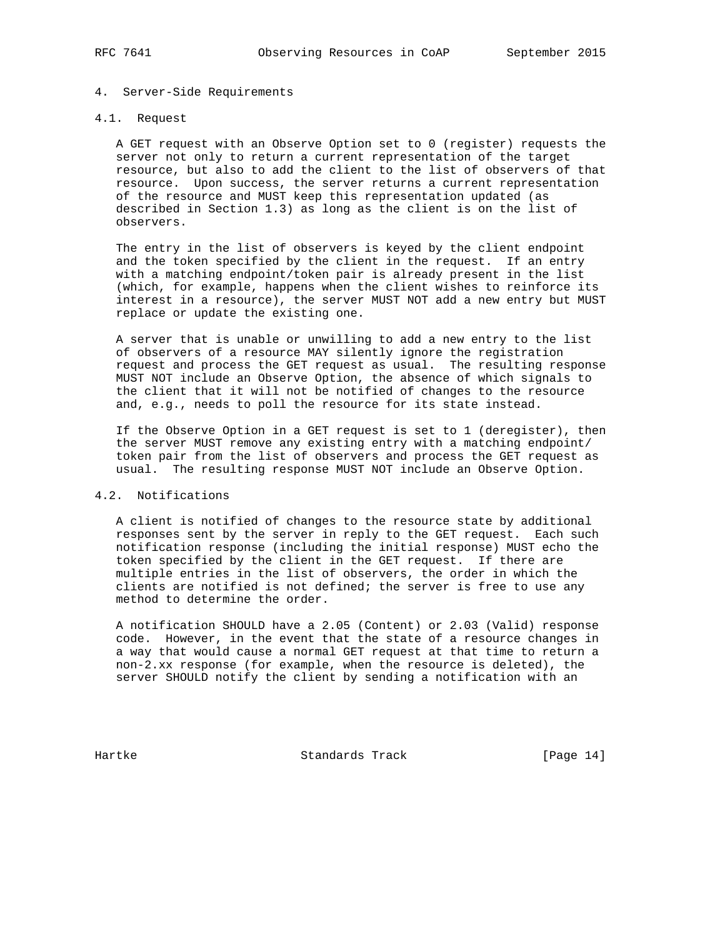# 4. Server-Side Requirements

## 4.1. Request

 A GET request with an Observe Option set to 0 (register) requests the server not only to return a current representation of the target resource, but also to add the client to the list of observers of that resource. Upon success, the server returns a current representation of the resource and MUST keep this representation updated (as described in Section 1.3) as long as the client is on the list of observers.

 The entry in the list of observers is keyed by the client endpoint and the token specified by the client in the request. If an entry with a matching endpoint/token pair is already present in the list (which, for example, happens when the client wishes to reinforce its interest in a resource), the server MUST NOT add a new entry but MUST replace or update the existing one.

 A server that is unable or unwilling to add a new entry to the list of observers of a resource MAY silently ignore the registration request and process the GET request as usual. The resulting response MUST NOT include an Observe Option, the absence of which signals to the client that it will not be notified of changes to the resource and, e.g., needs to poll the resource for its state instead.

 If the Observe Option in a GET request is set to 1 (deregister), then the server MUST remove any existing entry with a matching endpoint/ token pair from the list of observers and process the GET request as usual. The resulting response MUST NOT include an Observe Option.

### 4.2. Notifications

 A client is notified of changes to the resource state by additional responses sent by the server in reply to the GET request. Each such notification response (including the initial response) MUST echo the token specified by the client in the GET request. If there are multiple entries in the list of observers, the order in which the clients are notified is not defined; the server is free to use any method to determine the order.

 A notification SHOULD have a 2.05 (Content) or 2.03 (Valid) response code. However, in the event that the state of a resource changes in a way that would cause a normal GET request at that time to return a non-2.xx response (for example, when the resource is deleted), the server SHOULD notify the client by sending a notification with an

Hartke Standards Track [Page 14]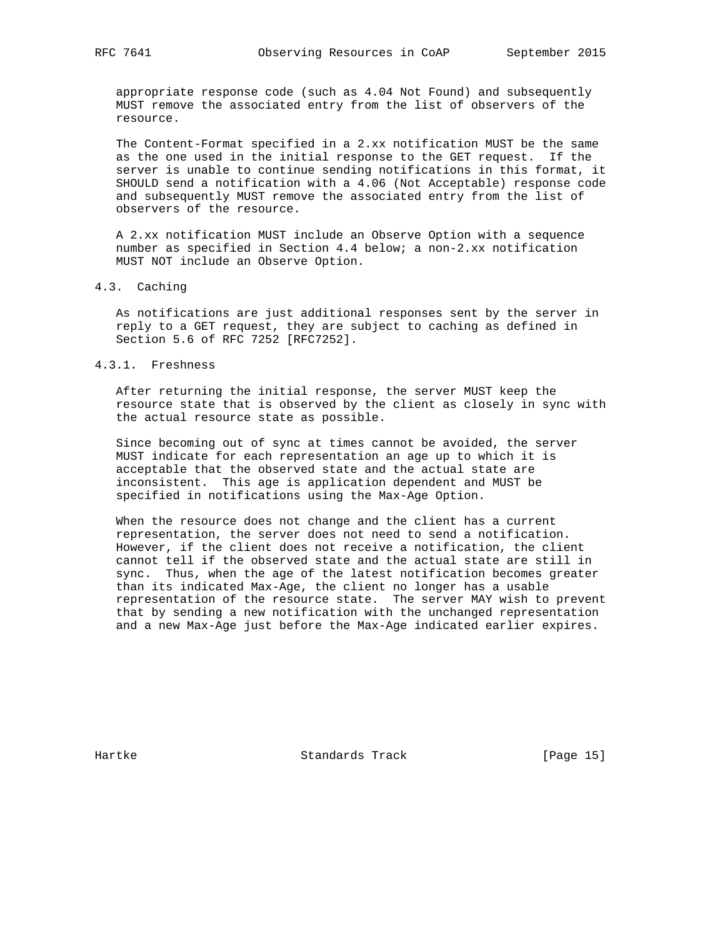appropriate response code (such as 4.04 Not Found) and subsequently MUST remove the associated entry from the list of observers of the resource.

 The Content-Format specified in a 2.xx notification MUST be the same as the one used in the initial response to the GET request. If the server is unable to continue sending notifications in this format, it SHOULD send a notification with a 4.06 (Not Acceptable) response code and subsequently MUST remove the associated entry from the list of observers of the resource.

 A 2.xx notification MUST include an Observe Option with a sequence number as specified in Section 4.4 below; a non-2.xx notification MUST NOT include an Observe Option.

### 4.3. Caching

 As notifications are just additional responses sent by the server in reply to a GET request, they are subject to caching as defined in Section 5.6 of RFC 7252 [RFC7252].

### 4.3.1. Freshness

 After returning the initial response, the server MUST keep the resource state that is observed by the client as closely in sync with the actual resource state as possible.

 Since becoming out of sync at times cannot be avoided, the server MUST indicate for each representation an age up to which it is acceptable that the observed state and the actual state are inconsistent. This age is application dependent and MUST be specified in notifications using the Max-Age Option.

 When the resource does not change and the client has a current representation, the server does not need to send a notification. However, if the client does not receive a notification, the client cannot tell if the observed state and the actual state are still in sync. Thus, when the age of the latest notification becomes greater than its indicated Max-Age, the client no longer has a usable representation of the resource state. The server MAY wish to prevent that by sending a new notification with the unchanged representation and a new Max-Age just before the Max-Age indicated earlier expires.

Hartke **Standards Track** [Page 15]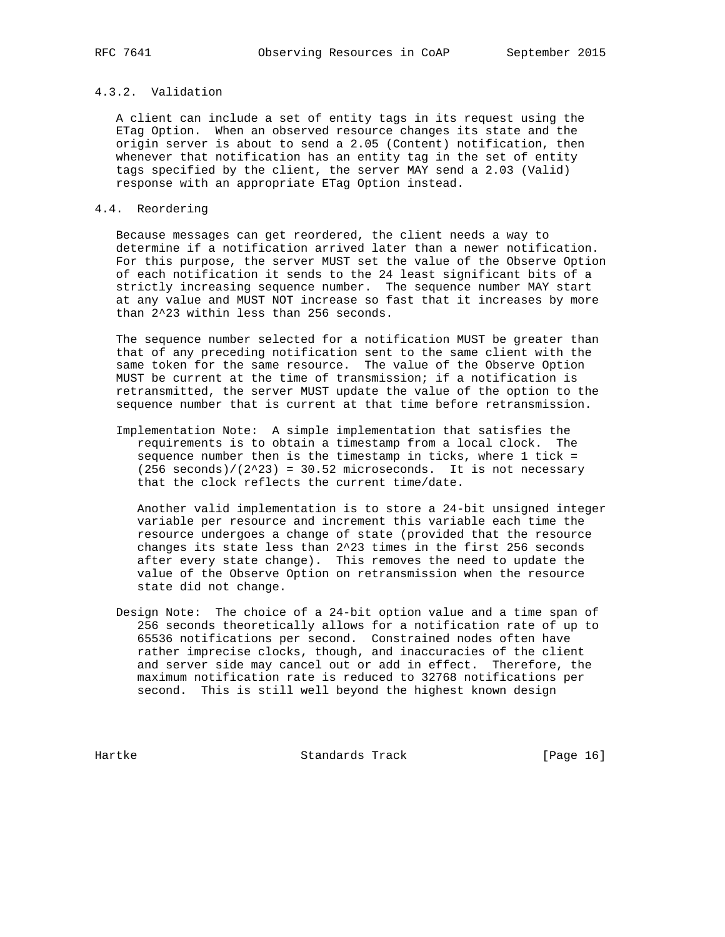# 4.3.2. Validation

 A client can include a set of entity tags in its request using the ETag Option. When an observed resource changes its state and the origin server is about to send a 2.05 (Content) notification, then whenever that notification has an entity tag in the set of entity tags specified by the client, the server MAY send a 2.03 (Valid) response with an appropriate ETag Option instead.

### 4.4. Reordering

 Because messages can get reordered, the client needs a way to determine if a notification arrived later than a newer notification. For this purpose, the server MUST set the value of the Observe Option of each notification it sends to the 24 least significant bits of a strictly increasing sequence number. The sequence number MAY start at any value and MUST NOT increase so fast that it increases by more than 2^23 within less than 256 seconds.

 The sequence number selected for a notification MUST be greater than that of any preceding notification sent to the same client with the same token for the same resource. The value of the Observe Option MUST be current at the time of transmission; if a notification is retransmitted, the server MUST update the value of the option to the sequence number that is current at that time before retransmission.

 Implementation Note: A simple implementation that satisfies the requirements is to obtain a timestamp from a local clock. The sequence number then is the timestamp in ticks, where 1 tick =  $(256$  seconds)/ $(2^23) = 30.52$  microseconds. It is not necessary that the clock reflects the current time/date.

 Another valid implementation is to store a 24-bit unsigned integer variable per resource and increment this variable each time the resource undergoes a change of state (provided that the resource changes its state less than 2^23 times in the first 256 seconds after every state change). This removes the need to update the value of the Observe Option on retransmission when the resource state did not change.

 Design Note: The choice of a 24-bit option value and a time span of 256 seconds theoretically allows for a notification rate of up to 65536 notifications per second. Constrained nodes often have rather imprecise clocks, though, and inaccuracies of the client and server side may cancel out or add in effect. Therefore, the maximum notification rate is reduced to 32768 notifications per second. This is still well beyond the highest known design

Hartke Standards Track [Page 16]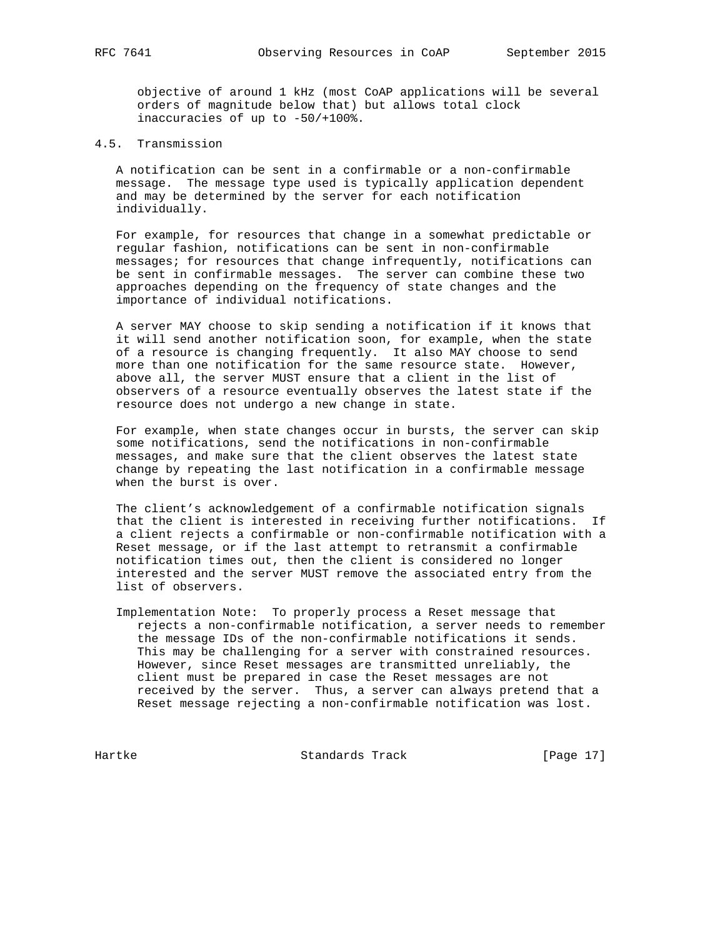objective of around 1 kHz (most CoAP applications will be several orders of magnitude below that) but allows total clock inaccuracies of up to -50/+100%.

# 4.5. Transmission

 A notification can be sent in a confirmable or a non-confirmable message. The message type used is typically application dependent and may be determined by the server for each notification individually.

 For example, for resources that change in a somewhat predictable or regular fashion, notifications can be sent in non-confirmable messages; for resources that change infrequently, notifications can be sent in confirmable messages. The server can combine these two approaches depending on the frequency of state changes and the importance of individual notifications.

 A server MAY choose to skip sending a notification if it knows that it will send another notification soon, for example, when the state of a resource is changing frequently. It also MAY choose to send more than one notification for the same resource state. However, above all, the server MUST ensure that a client in the list of observers of a resource eventually observes the latest state if the resource does not undergo a new change in state.

 For example, when state changes occur in bursts, the server can skip some notifications, send the notifications in non-confirmable messages, and make sure that the client observes the latest state change by repeating the last notification in a confirmable message when the burst is over.

 The client's acknowledgement of a confirmable notification signals that the client is interested in receiving further notifications. If a client rejects a confirmable or non-confirmable notification with a Reset message, or if the last attempt to retransmit a confirmable notification times out, then the client is considered no longer interested and the server MUST remove the associated entry from the list of observers.

 Implementation Note: To properly process a Reset message that rejects a non-confirmable notification, a server needs to remember the message IDs of the non-confirmable notifications it sends. This may be challenging for a server with constrained resources. However, since Reset messages are transmitted unreliably, the client must be prepared in case the Reset messages are not received by the server. Thus, a server can always pretend that a Reset message rejecting a non-confirmable notification was lost.

Hartke Standards Track [Page 17]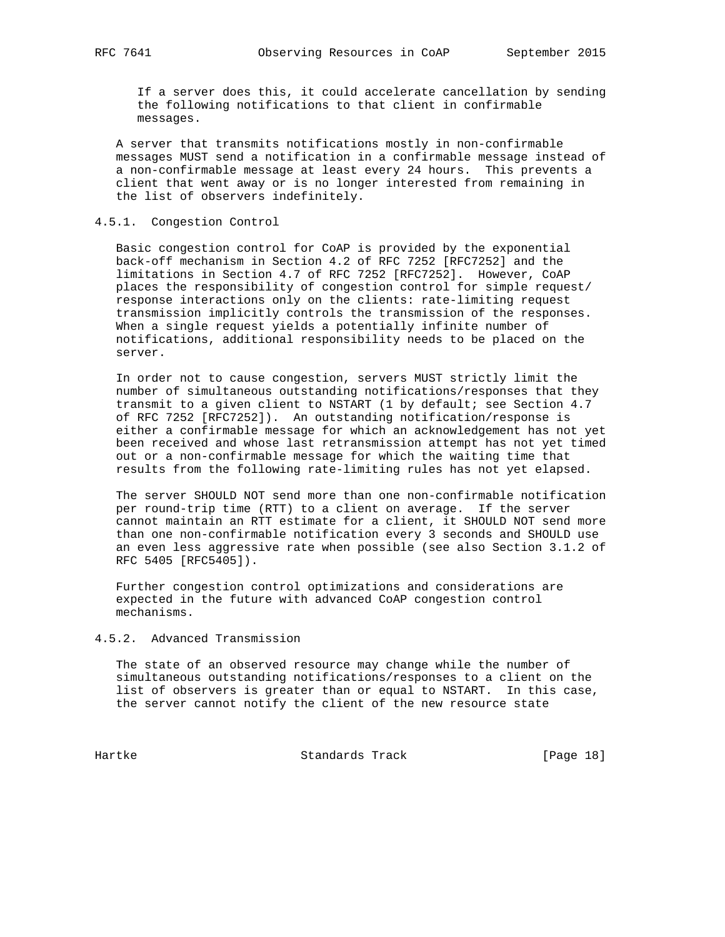If a server does this, it could accelerate cancellation by sending the following notifications to that client in confirmable messages.

 A server that transmits notifications mostly in non-confirmable messages MUST send a notification in a confirmable message instead of a non-confirmable message at least every 24 hours. This prevents a client that went away or is no longer interested from remaining in the list of observers indefinitely.

### 4.5.1. Congestion Control

 Basic congestion control for CoAP is provided by the exponential back-off mechanism in Section 4.2 of RFC 7252 [RFC7252] and the limitations in Section 4.7 of RFC 7252 [RFC7252]. However, CoAP places the responsibility of congestion control for simple request/ response interactions only on the clients: rate-limiting request transmission implicitly controls the transmission of the responses. When a single request yields a potentially infinite number of notifications, additional responsibility needs to be placed on the server.

 In order not to cause congestion, servers MUST strictly limit the number of simultaneous outstanding notifications/responses that they transmit to a given client to NSTART (1 by default; see Section 4.7 of RFC 7252 [RFC7252]). An outstanding notification/response is either a confirmable message for which an acknowledgement has not yet been received and whose last retransmission attempt has not yet timed out or a non-confirmable message for which the waiting time that results from the following rate-limiting rules has not yet elapsed.

 The server SHOULD NOT send more than one non-confirmable notification per round-trip time (RTT) to a client on average. If the server cannot maintain an RTT estimate for a client, it SHOULD NOT send more than one non-confirmable notification every 3 seconds and SHOULD use an even less aggressive rate when possible (see also Section 3.1.2 of RFC 5405 [RFC5405]).

 Further congestion control optimizations and considerations are expected in the future with advanced CoAP congestion control mechanisms.

# 4.5.2. Advanced Transmission

 The state of an observed resource may change while the number of simultaneous outstanding notifications/responses to a client on the list of observers is greater than or equal to NSTART. In this case, the server cannot notify the client of the new resource state

Hartke **Standards Track** [Page 18]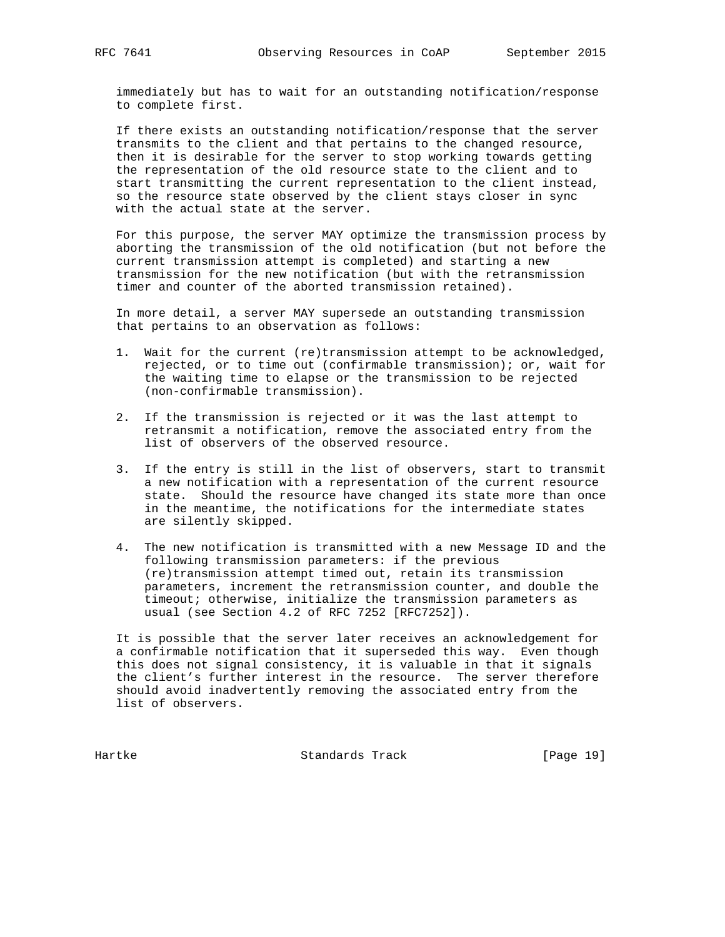immediately but has to wait for an outstanding notification/response to complete first.

 If there exists an outstanding notification/response that the server transmits to the client and that pertains to the changed resource, then it is desirable for the server to stop working towards getting the representation of the old resource state to the client and to start transmitting the current representation to the client instead, so the resource state observed by the client stays closer in sync with the actual state at the server.

 For this purpose, the server MAY optimize the transmission process by aborting the transmission of the old notification (but not before the current transmission attempt is completed) and starting a new transmission for the new notification (but with the retransmission timer and counter of the aborted transmission retained).

 In more detail, a server MAY supersede an outstanding transmission that pertains to an observation as follows:

- 1. Wait for the current (re)transmission attempt to be acknowledged, rejected, or to time out (confirmable transmission); or, wait for the waiting time to elapse or the transmission to be rejected (non-confirmable transmission).
- 2. If the transmission is rejected or it was the last attempt to retransmit a notification, remove the associated entry from the list of observers of the observed resource.
- 3. If the entry is still in the list of observers, start to transmit a new notification with a representation of the current resource state. Should the resource have changed its state more than once in the meantime, the notifications for the intermediate states are silently skipped.
- 4. The new notification is transmitted with a new Message ID and the following transmission parameters: if the previous (re)transmission attempt timed out, retain its transmission parameters, increment the retransmission counter, and double the timeout; otherwise, initialize the transmission parameters as usual (see Section 4.2 of RFC 7252 [RFC7252]).

 It is possible that the server later receives an acknowledgement for a confirmable notification that it superseded this way. Even though this does not signal consistency, it is valuable in that it signals the client's further interest in the resource. The server therefore should avoid inadvertently removing the associated entry from the list of observers.

Hartke **Standards Track** [Page 19]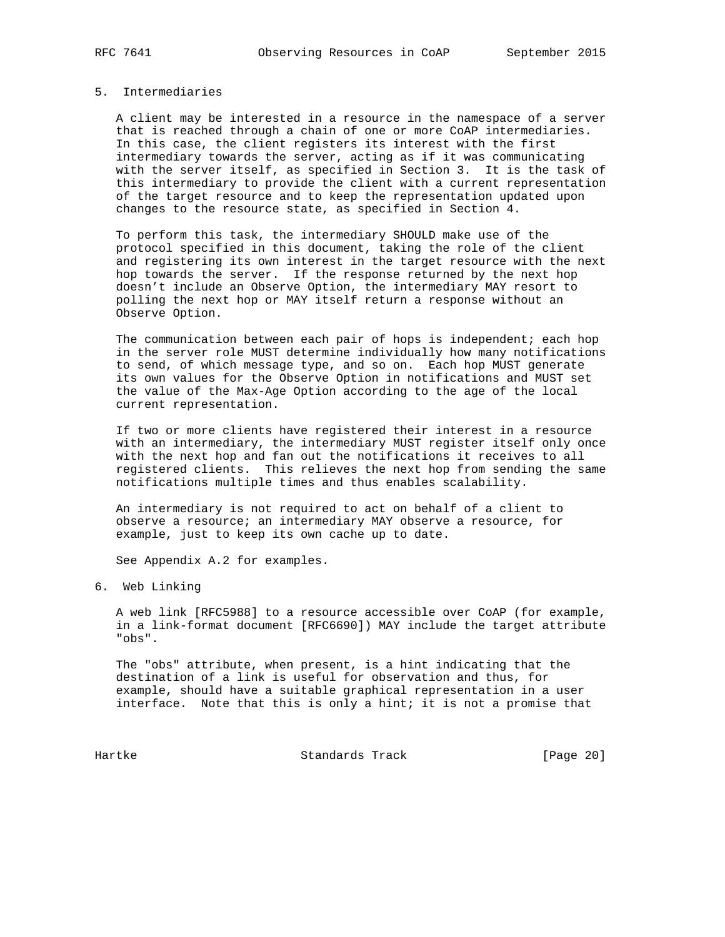# 5. Intermediaries

 A client may be interested in a resource in the namespace of a server that is reached through a chain of one or more CoAP intermediaries. In this case, the client registers its interest with the first intermediary towards the server, acting as if it was communicating with the server itself, as specified in Section 3. It is the task of this intermediary to provide the client with a current representation of the target resource and to keep the representation updated upon changes to the resource state, as specified in Section 4.

 To perform this task, the intermediary SHOULD make use of the protocol specified in this document, taking the role of the client and registering its own interest in the target resource with the next hop towards the server. If the response returned by the next hop doesn't include an Observe Option, the intermediary MAY resort to polling the next hop or MAY itself return a response without an Observe Option.

 The communication between each pair of hops is independent; each hop in the server role MUST determine individually how many notifications to send, of which message type, and so on. Each hop MUST generate its own values for the Observe Option in notifications and MUST set the value of the Max-Age Option according to the age of the local current representation.

 If two or more clients have registered their interest in a resource with an intermediary, the intermediary MUST register itself only once with the next hop and fan out the notifications it receives to all registered clients. This relieves the next hop from sending the same notifications multiple times and thus enables scalability.

 An intermediary is not required to act on behalf of a client to observe a resource; an intermediary MAY observe a resource, for example, just to keep its own cache up to date.

See Appendix A.2 for examples.

6. Web Linking

 A web link [RFC5988] to a resource accessible over CoAP (for example, in a link-format document [RFC6690]) MAY include the target attribute "obs".

 The "obs" attribute, when present, is a hint indicating that the destination of a link is useful for observation and thus, for example, should have a suitable graphical representation in a user interface. Note that this is only a hint; it is not a promise that

Hartke **Standards Track** [Page 20]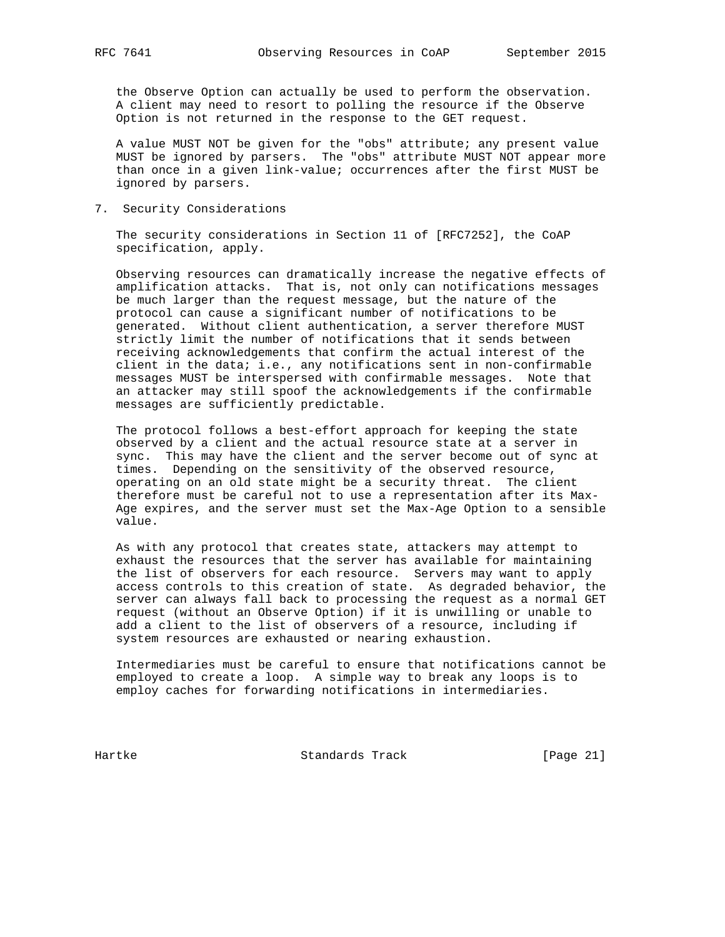the Observe Option can actually be used to perform the observation. A client may need to resort to polling the resource if the Observe Option is not returned in the response to the GET request.

 A value MUST NOT be given for the "obs" attribute; any present value MUST be ignored by parsers. The "obs" attribute MUST NOT appear more than once in a given link-value; occurrences after the first MUST be ignored by parsers.

7. Security Considerations

 The security considerations in Section 11 of [RFC7252], the CoAP specification, apply.

 Observing resources can dramatically increase the negative effects of amplification attacks. That is, not only can notifications messages be much larger than the request message, but the nature of the protocol can cause a significant number of notifications to be generated. Without client authentication, a server therefore MUST strictly limit the number of notifications that it sends between receiving acknowledgements that confirm the actual interest of the client in the data; i.e., any notifications sent in non-confirmable messages MUST be interspersed with confirmable messages. Note that an attacker may still spoof the acknowledgements if the confirmable messages are sufficiently predictable.

 The protocol follows a best-effort approach for keeping the state observed by a client and the actual resource state at a server in sync. This may have the client and the server become out of sync at times. Depending on the sensitivity of the observed resource, operating on an old state might be a security threat. The client therefore must be careful not to use a representation after its Max- Age expires, and the server must set the Max-Age Option to a sensible value.

 As with any protocol that creates state, attackers may attempt to exhaust the resources that the server has available for maintaining the list of observers for each resource. Servers may want to apply access controls to this creation of state. As degraded behavior, the server can always fall back to processing the request as a normal GET request (without an Observe Option) if it is unwilling or unable to add a client to the list of observers of a resource, including if system resources are exhausted or nearing exhaustion.

 Intermediaries must be careful to ensure that notifications cannot be employed to create a loop. A simple way to break any loops is to employ caches for forwarding notifications in intermediaries.

Hartke Standards Track [Page 21]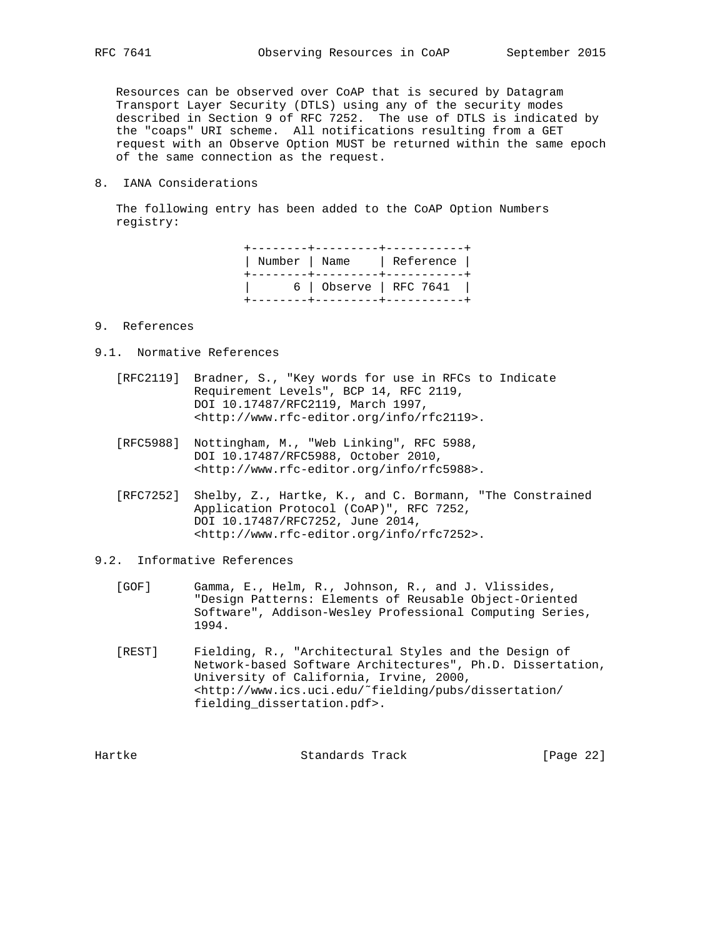Resources can be observed over CoAP that is secured by Datagram Transport Layer Security (DTLS) using any of the security modes described in Section 9 of RFC 7252. The use of DTLS is indicated by the "coaps" URI scheme. All notifications resulting from a GET request with an Observe Option MUST be returned within the same epoch of the same connection as the request.

8. IANA Considerations

 The following entry has been added to the CoAP Option Numbers registry:

|  | Number   Name   Reference  <br>-------+---------+----------- |
|--|--------------------------------------------------------------|
|  | 6   Observe   RFC 7641  <br>--+---------+-----------         |

### 9. References

- 9.1. Normative References
	- [RFC2119] Bradner, S., "Key words for use in RFCs to Indicate Requirement Levels", BCP 14, RFC 2119, DOI 10.17487/RFC2119, March 1997, <http://www.rfc-editor.org/info/rfc2119>.
	- [RFC5988] Nottingham, M., "Web Linking", RFC 5988, DOI 10.17487/RFC5988, October 2010, <http://www.rfc-editor.org/info/rfc5988>.
	- [RFC7252] Shelby, Z., Hartke, K., and C. Bormann, "The Constrained Application Protocol (CoAP)", RFC 7252, DOI 10.17487/RFC7252, June 2014, <http://www.rfc-editor.org/info/rfc7252>.
- 9.2. Informative References
	- [GOF] Gamma, E., Helm, R., Johnson, R., and J. Vlissides, "Design Patterns: Elements of Reusable Object-Oriented Software", Addison-Wesley Professional Computing Series, 1994.
	- [REST] Fielding, R., "Architectural Styles and the Design of Network-based Software Architectures", Ph.D. Dissertation, University of California, Irvine, 2000, <http://www.ics.uci.edu/˜fielding/pubs/dissertation/ fielding\_dissertation.pdf>.

Hartke **Standards Track** [Page 22]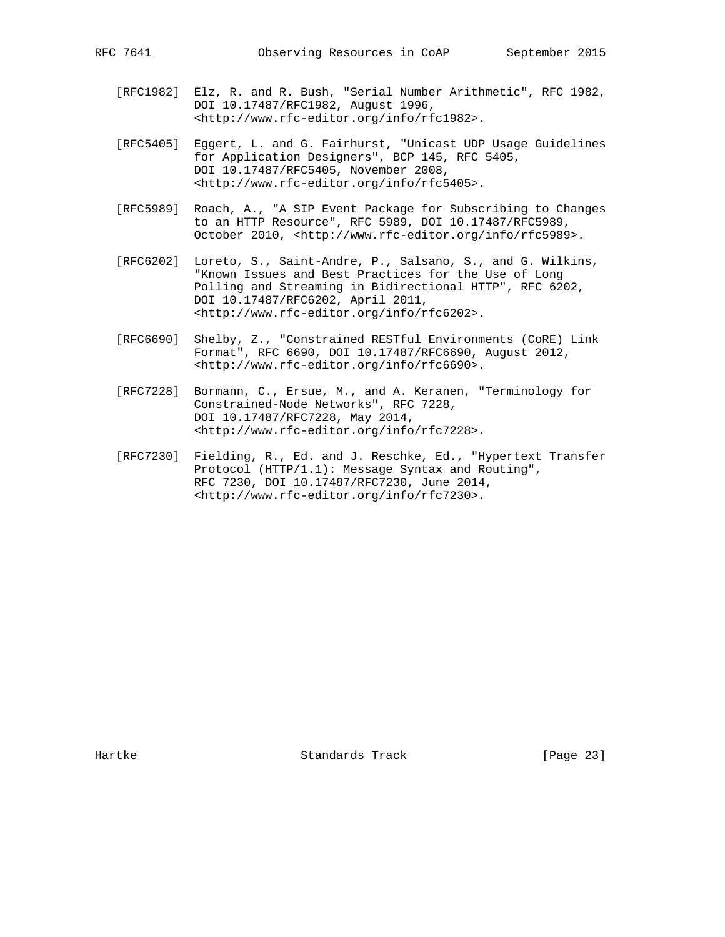- [RFC1982] Elz, R. and R. Bush, "Serial Number Arithmetic", RFC 1982, DOI 10.17487/RFC1982, August 1996, <http://www.rfc-editor.org/info/rfc1982>.
	- [RFC5405] Eggert, L. and G. Fairhurst, "Unicast UDP Usage Guidelines for Application Designers", BCP 145, RFC 5405, DOI 10.17487/RFC5405, November 2008, <http://www.rfc-editor.org/info/rfc5405>.
	- [RFC5989] Roach, A., "A SIP Event Package for Subscribing to Changes to an HTTP Resource", RFC 5989, DOI 10.17487/RFC5989, October 2010, <http://www.rfc-editor.org/info/rfc5989>.
	- [RFC6202] Loreto, S., Saint-Andre, P., Salsano, S., and G. Wilkins, "Known Issues and Best Practices for the Use of Long Polling and Streaming in Bidirectional HTTP", RFC 6202, DOI 10.17487/RFC6202, April 2011, <http://www.rfc-editor.org/info/rfc6202>.
	- [RFC6690] Shelby, Z., "Constrained RESTful Environments (CoRE) Link Format", RFC 6690, DOI 10.17487/RFC6690, August 2012, <http://www.rfc-editor.org/info/rfc6690>.
	- [RFC7228] Bormann, C., Ersue, M., and A. Keranen, "Terminology for Constrained-Node Networks", RFC 7228, DOI 10.17487/RFC7228, May 2014, <http://www.rfc-editor.org/info/rfc7228>.
	- [RFC7230] Fielding, R., Ed. and J. Reschke, Ed., "Hypertext Transfer Protocol (HTTP/1.1): Message Syntax and Routing", RFC 7230, DOI 10.17487/RFC7230, June 2014, <http://www.rfc-editor.org/info/rfc7230>.

Hartke **Standards Track** [Page 23]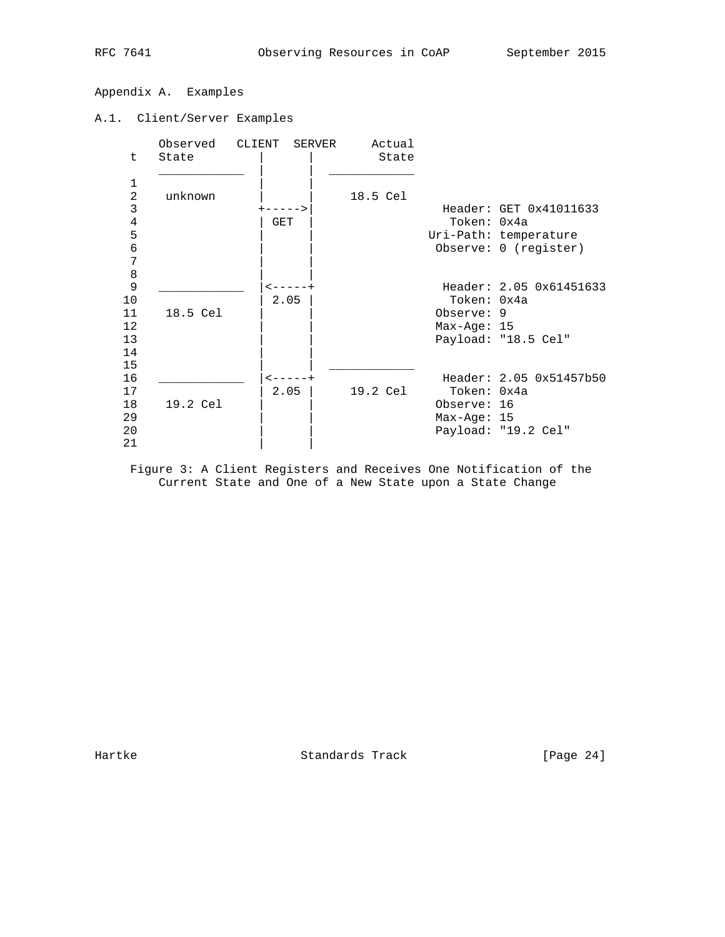# Appendix A. Examples

# A.1. Client/Server Examples

|                |          | Observed CLIENT SERVER       | Actual   |               |                         |
|----------------|----------|------------------------------|----------|---------------|-------------------------|
| t.             | State    |                              | State    |               |                         |
| 1              |          |                              |          |               |                         |
| $\overline{a}$ | unknown  |                              | 18.5 Cel |               |                         |
| 3              |          |                              |          |               | Header: GET 0x41011633  |
| $\overline{4}$ |          | GET                          |          | Token: 0x4a   |                         |
| 5              |          |                              |          |               | Uri-Path: temperature   |
| 6              |          |                              |          |               | Observe: 0 (register)   |
| 7              |          |                              |          |               |                         |
| $\,8\,$        |          |                              |          |               |                         |
| 9              |          | $\lt$ $  -$                  |          |               | Header: 2.05 0x61451633 |
| 10             |          | 2.05                         |          | Token: 0x4a   |                         |
| 11             | 18.5 Cel |                              |          | Observe: 9    |                         |
| 12             |          |                              |          | $Max-Aqe: 15$ |                         |
| 13             |          |                              |          |               | Payload: "18.5 Cel"     |
| 14             |          |                              |          |               |                         |
| 15             |          |                              |          |               |                         |
| 16<br>17       |          | $\leftarrow - - - +$<br>2.05 |          | Token: 0x4a   | Header: 2.05 0x51457b50 |
| 18             | 19.2 Cel |                              | 19.2 Cel | Observe: 16   |                         |
| 29             |          |                              |          | $Max-Aqe: 15$ |                         |
| 20             |          |                              |          |               | Payload: "19.2 Cel"     |
| 21             |          |                              |          |               |                         |
|                |          |                              |          |               |                         |

 Figure 3: A Client Registers and Receives One Notification of the Current State and One of a New State upon a State Change

Hartke Standards Track [Page 24]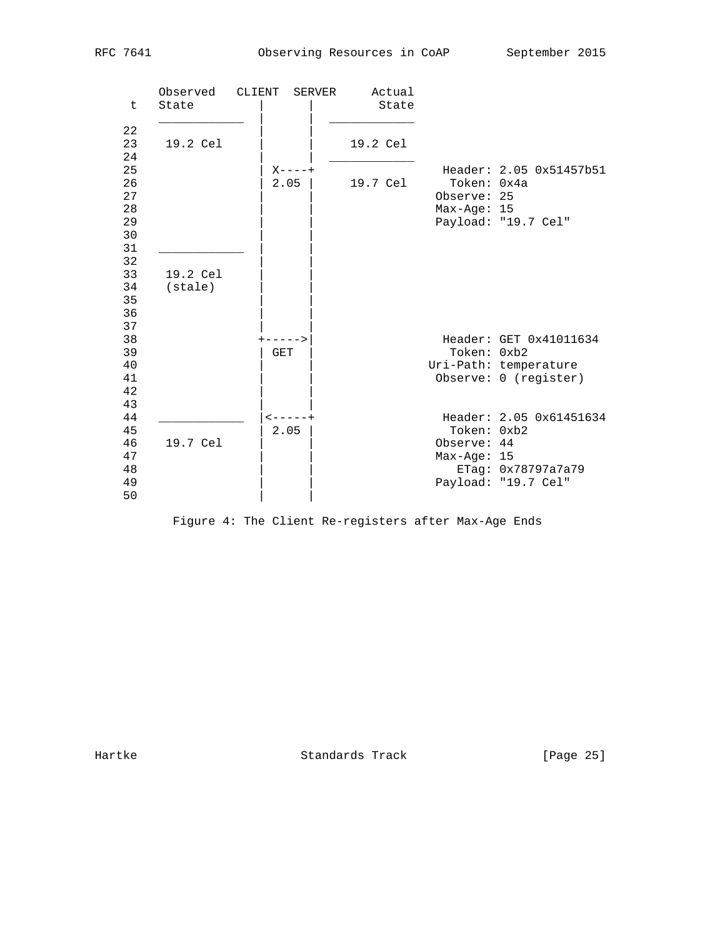| t                                            | Observed<br>State            | CLIENT<br>SERVER      | Actual<br>State |                                             |                                                                          |
|----------------------------------------------|------------------------------|-----------------------|-----------------|---------------------------------------------|--------------------------------------------------------------------------|
| 22<br>23                                     | 19.2 Cel                     |                       | 19.2 Cel        |                                             |                                                                          |
| 24<br>25<br>26<br>27<br>28<br>29<br>30<br>31 |                              | $X - - - - +$<br>2.05 | 19.7 Cel        | Token: 0x4a<br>Observe: 25<br>$Max-Age: 15$ | Header: 2.05 0x51457b51<br>Payload: "19.7 Cel"                           |
| 32<br>33<br>34<br>35<br>36<br>37             | 19.2 Cel<br>$(s\text{tale})$ |                       |                 |                                             |                                                                          |
| 38<br>39<br>40<br>41<br>42                   |                              | <b>GET</b>            |                 | Token: 0xb2                                 | Header: GET 0x41011634<br>Uri-Path: temperature<br>Observe: 0 (register) |
| 43<br>44<br>45<br>46<br>47<br>48<br>49<br>50 | 19.7 Cel                     | 2.05                  |                 | Token: 0xb2<br>Observe: 44<br>$Max-Age: 15$ | Header: 2.05 0x61451634<br>ETag: 0x78797a7a79<br>Payload: "19.7 Cel"     |



Hartke Standards Track [Page 25]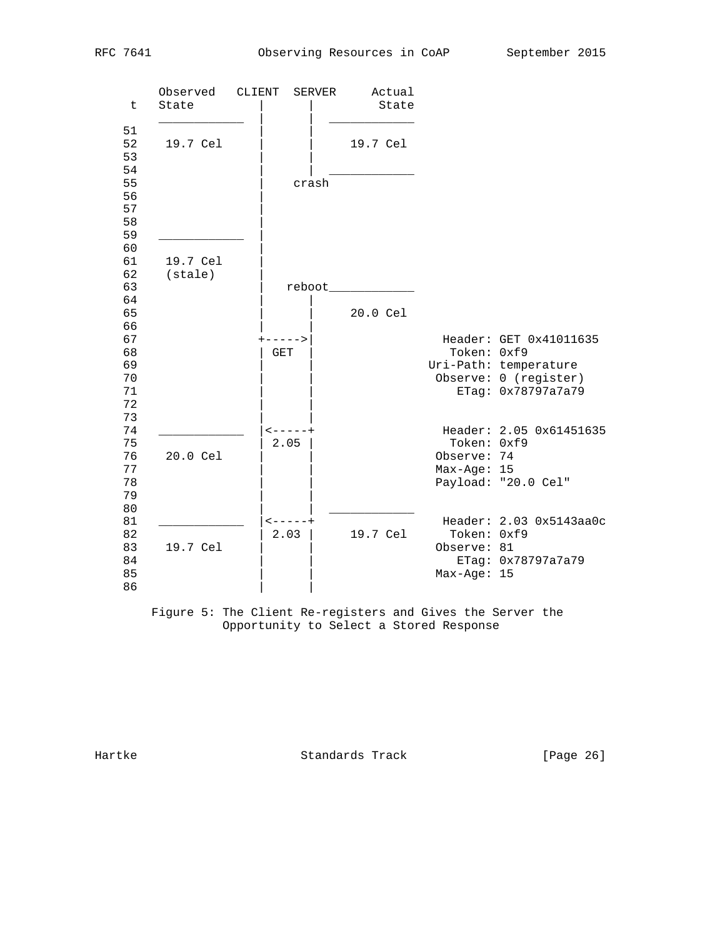| t                                            | Observed<br>State                | CLIENT<br>SERVER              | Actual<br>State                  |                                           |                                                                                                |
|----------------------------------------------|----------------------------------|-------------------------------|----------------------------------|-------------------------------------------|------------------------------------------------------------------------------------------------|
| 51<br>52<br>53<br>54<br>55<br>56<br>57<br>58 | 19.7 Cel                         | crash                         | 19.7 Cel                         |                                           |                                                                                                |
| 59<br>60<br>61<br>62<br>63<br>64<br>65       | 19.7 Cel<br>(s <del>t</del> ale) |                               | reboot______________<br>20.0 Cel |                                           |                                                                                                |
| 66<br>67<br>68<br>69<br>70<br>71<br>72       |                                  | $+ - - - - - >$<br><b>GET</b> |                                  | Token: 0xf9                               | Header: GET 0x41011635<br>Uri-Path: temperature<br>Observe: 0 (register)<br>ETag: 0x78797a7a79 |
| 73<br>74<br>75<br>76<br>77<br>78<br>79       | 20.0 Cel                         | $- - - - - +$<br>2.05         |                                  | Token: 0xf9<br>Observe: 74<br>Max-Age: 15 | Header: 2.05 0x61451635<br>Payload: "20.0 Cel"                                                 |
| 80<br>81<br>82<br>83<br>84<br>85<br>86       | 19.7 Cel                         | $- - - - - +$<br>2.03         | 19.7 Cel                         | Token: 0xf9<br>Observe: 81<br>Max-Age: 15 | Header: 2.03 0x5143aa0c<br>ETag: 0x78797a7a79                                                  |

 Figure 5: The Client Re-registers and Gives the Server the Opportunity to Select a Stored Response

Hartke **Standards Track** [Page 26]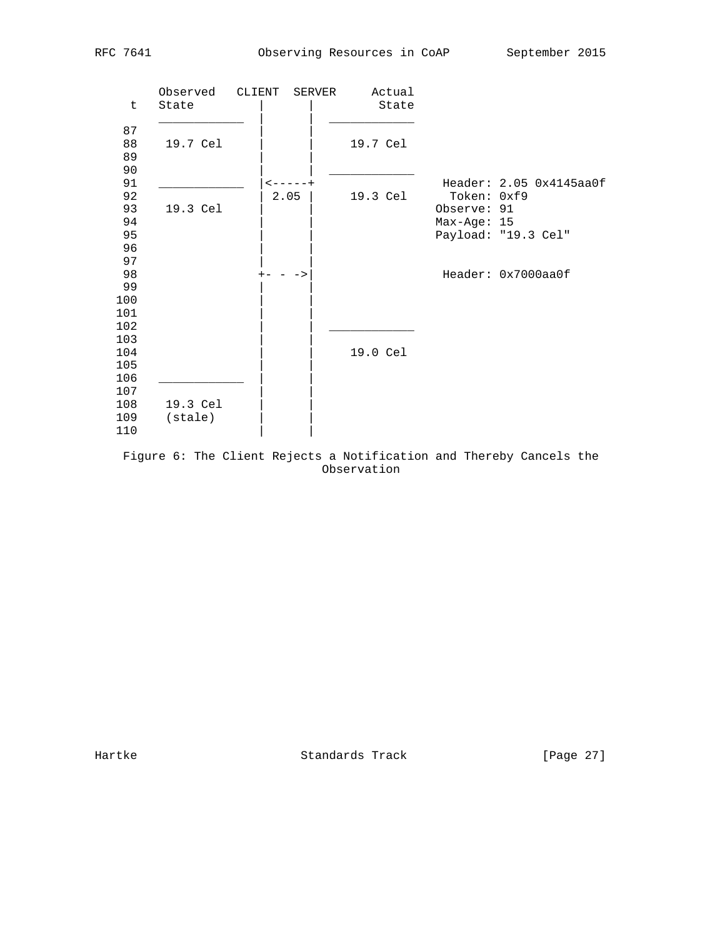| $\mathsf{t}$ | Observed<br>State    | CLIENT<br>SERVER | Actual<br>State |               |                         |
|--------------|----------------------|------------------|-----------------|---------------|-------------------------|
| 87           |                      |                  |                 |               |                         |
| 88           | 19.7 Cel             |                  | 19.7 Cel        |               |                         |
| 89           |                      |                  |                 |               |                         |
| 90           |                      |                  |                 |               |                         |
| 91           |                      |                  |                 |               | Header: 2.05 0x4145aa0f |
| 92           |                      | 2.05             | 19.3 Cel        | Token: 0xf9   |                         |
| 93           | 19.3 Cel             |                  |                 | Observe: 91   |                         |
| 94           |                      |                  |                 | $Max-Age: 15$ |                         |
| 95           |                      |                  |                 |               | Payload: "19.3 Cel"     |
| 96           |                      |                  |                 |               |                         |
| 97           |                      |                  |                 |               |                         |
| 98           |                      | ->               |                 |               | Header: 0x7000aa0f      |
| 99           |                      |                  |                 |               |                         |
| 100          |                      |                  |                 |               |                         |
| 101          |                      |                  |                 |               |                         |
| 102          |                      |                  |                 |               |                         |
| 103          |                      |                  |                 |               |                         |
| 104          |                      |                  | 19.0 Cel        |               |                         |
| 105          |                      |                  |                 |               |                         |
| 106          |                      |                  |                 |               |                         |
| 107          |                      |                  |                 |               |                         |
| 108          | 19.3 Cel             |                  |                 |               |                         |
| 109          | (s <sub>t</sub> ale) |                  |                 |               |                         |
| 110          |                      |                  |                 |               |                         |

 Figure 6: The Client Rejects a Notification and Thereby Cancels the Observation

Hartke **Standards Track** [Page 27]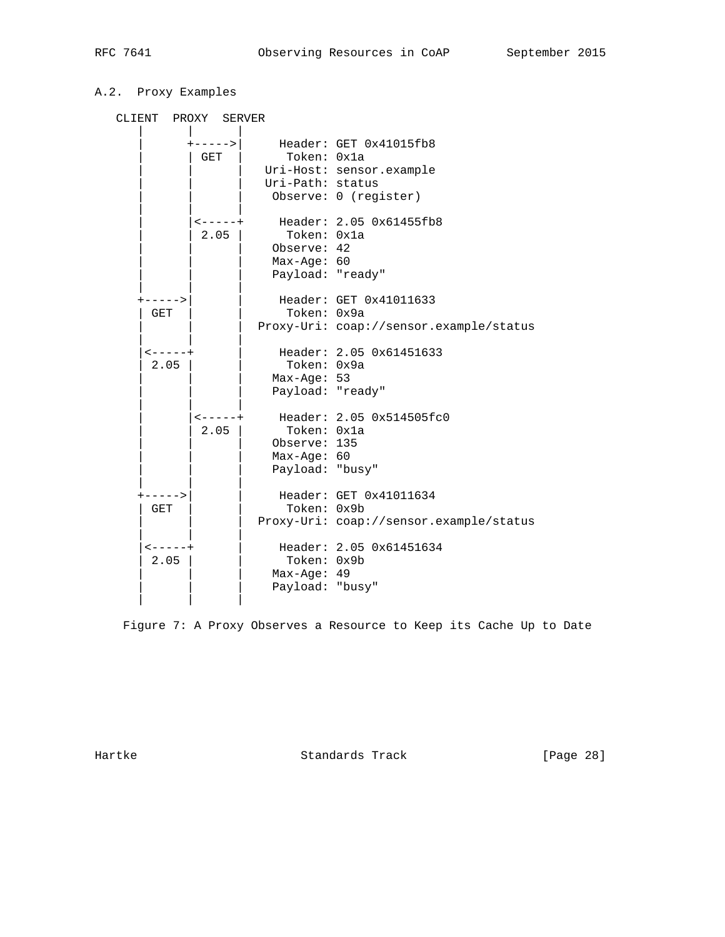# A.2. Proxy Examples

| CLIENT PROXY SERVER          |                           |                                                               |                                                                                      |
|------------------------------|---------------------------|---------------------------------------------------------------|--------------------------------------------------------------------------------------|
|                              | GET                       | Token: 0x1a<br>Uri-Path: status                               | +----->  Header: GET 0x41015fb8<br>Uri-Host: sensor.example<br>Observe: 0 (register) |
|                              | <b>&lt;-----+</b><br>2.05 | Token: 0x1a<br>Observe: 42<br>Max-Age: 60<br>Payload: "ready" | Header: 2.05 0x61455fb8                                                              |
| $+ - - - - >$<br>GET         |                           | Token: 0x9a                                                   | Header: GET 0x41011633<br>Proxy-Uri: coap://sensor.example/status                    |
| $\leftarrow - - - +$<br>2.05 |                           | Token: 0x9a<br>Max-Age: 53<br>Payload: "ready"                | Header: 2.05 0x61451633                                                              |
|                              | <-----+<br>2.05           | Token: 0x1a<br>Observe: 135<br>Max-Age: 60<br>Payload: "busy" | Header: 2.05 0x514505fc0                                                             |
| +-----><br>GET               |                           | Token: 0x9b                                                   | Header: GET 0x41011634<br>Proxy-Uri: coap://sensor.example/status                    |
| $- - - - +$<br>2.05          |                           | Token: 0x9b<br>Max-Age: 49<br>Payload: "busy"                 | Header: 2.05 0x61451634                                                              |

Figure 7: A Proxy Observes a Resource to Keep its Cache Up to Date

Hartke Standards Track [Page 28]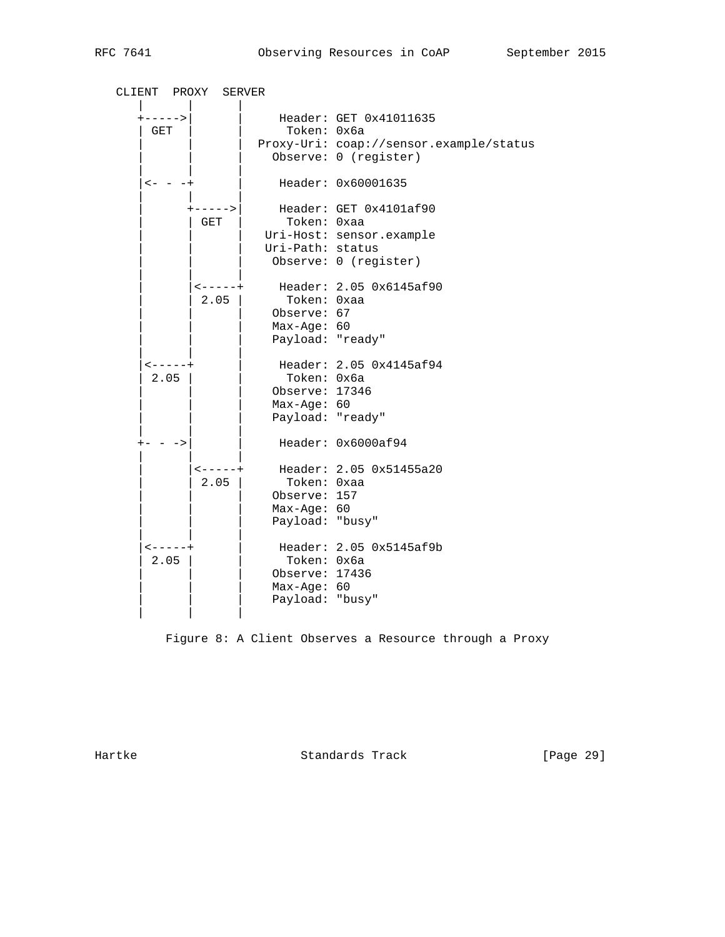| CLIENT PROXY SERVER          |                          |                                                                  |                                                                                            |
|------------------------------|--------------------------|------------------------------------------------------------------|--------------------------------------------------------------------------------------------|
| $+ - - - - >$<br>GET         |                          | Token: 0x6a                                                      | Header: GET 0x41011635<br>Proxy-Uri: coap://sensor.example/status<br>Observe: 0 (register) |
| $<- - - +$                   |                          |                                                                  | Header: 0x60001635                                                                         |
|                              | $+ - - - - - >  $<br>GET | Token: 0xaa<br>Uri-Path: status                                  | Header: GET 0x4101af90<br>Uri-Host: sensor.example<br>Observe: 0 (register)                |
|                              | $2.05$                   | Token: Oxaa<br>Observe: 67<br>Max-Age: 60<br>Payload: "ready"    | <-----+ Header: 2.05 0x6145af90                                                            |
| $- - - - +$<br>2.05          |                          | Token: 0x6a<br>Observe: 17346<br>Max-Age: 60<br>Payload: "ready" | Header: 2.05 0x4145af94                                                                    |
| $+ - - - >$                  |                          |                                                                  | Header: 0x6000af94                                                                         |
|                              | $- - - - - +$<br>2.05    | Token: 0xaa<br>Observe: 157<br>$Max-Age: 60$<br>Payload: "busy"  | Header: 2.05 0x51455a20                                                                    |
| $\leftarrow - - - +$<br>2.05 |                          | Token: 0x6a<br>Observe: 17436<br>Max-Age: 60<br>Payload: "busy"  | Header: 2.05 0x5145af9b                                                                    |

Figure 8: A Client Observes a Resource through a Proxy

Hartke **Standards Track** [Page 29]